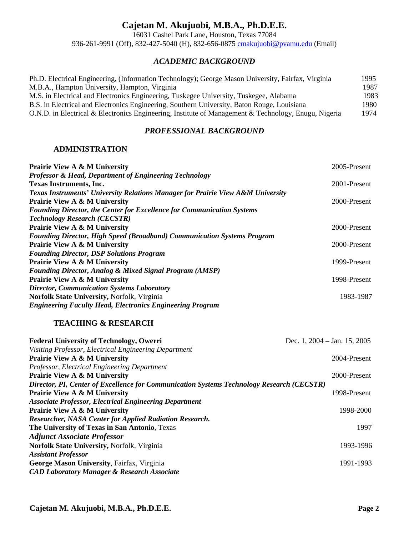## **Cajetan M. Akujuobi, M.B.A., Ph.D.E.E.**

16031 Cashel Park Lane, Houston, Texas 77084 936-261-9991 (Off), 832-427-5040 (H), 832-656-0875 [cmakujuobi@pvamu.edu](mailto:cmakujuobi@pvamu.edu) (Email)

## *ACADEMIC BACKGROUND*

| Ph.D. Electrical Engineering, (Information Technology); George Mason University, Fairfax, Virginia   | 1995 |
|------------------------------------------------------------------------------------------------------|------|
| M.B.A., Hampton University, Hampton, Virginia                                                        | 1987 |
| M.S. in Electrical and Electronics Engineering, Tuskegee University, Tuskegee, Alabama               | 1983 |
| B.S. in Electrical and Electronics Engineering, Southern University, Baton Rouge, Louisiana          | 1980 |
| O.N.D. in Electrical & Electronics Engineering, Institute of Management & Technology, Enugu, Nigeria | 1974 |

## *PROFESSIONAL BACKGROUND*

## **ADMINISTRATION**

| <b>Prairie View A &amp; M University</b>                                        | 2005-Present |
|---------------------------------------------------------------------------------|--------------|
| <b>Professor &amp; Head, Department of Engineering Technology</b>               |              |
| <b>Texas Instruments, Inc.</b>                                                  | 2001-Present |
| Texas Instruments' University Relations Manager for Prairie View A&M University |              |
| <b>Prairie View A &amp; M University</b>                                        | 2000-Present |
| Founding Director, the Center for Excellence for Communication Systems          |              |
| <b>Technology Research (CECSTR)</b>                                             |              |
| <b>Prairie View A &amp; M University</b>                                        | 2000-Present |
| <b>Founding Director, High Speed (Broadband) Communication Systems Program</b>  |              |
| <b>Prairie View A &amp; M University</b>                                        | 2000-Present |
| <b>Founding Director, DSP Solutions Program</b>                                 |              |
| <b>Prairie View A &amp; M University</b>                                        | 1999-Present |
| <b>Founding Director, Analog &amp; Mixed Signal Program (AMSP)</b>              |              |
| <b>Prairie View A &amp; M University</b>                                        | 1998-Present |
| <b>Director, Communication Systems Laboratory</b>                               |              |
| Norfolk State University, Norfolk, Virginia                                     | 1983-1987    |
| <b>Engineering Faculty Head, Electronics Engineering Program</b>                |              |

## **TEACHING & RESEARCH**

| <b>Federal University of Technology, Owerri</b>                                           | Dec. 1, $2004 - Jan. 15$ , $2005$ |
|-------------------------------------------------------------------------------------------|-----------------------------------|
| Visiting Professor, Electrical Engineering Department                                     |                                   |
| <b>Prairie View A &amp; M University</b>                                                  | 2004-Present                      |
| Professor, Electrical Engineering Department                                              |                                   |
| <b>Prairie View A &amp; M University</b>                                                  | 2000-Present                      |
| Director, PI, Center of Excellence for Communication Systems Technology Research (CECSTR) |                                   |
| <b>Prairie View A &amp; M University</b>                                                  | 1998-Present                      |
| <b>Associate Professor, Electrical Engineering Department</b>                             |                                   |
| <b>Prairie View A &amp; M University</b>                                                  | 1998-2000                         |
| <b>Researcher, NASA Center for Applied Radiation Research.</b>                            |                                   |
| The University of Texas in San Antonio, Texas                                             | 1997                              |
| <b>Adjunct Associate Professor</b>                                                        |                                   |
| Norfolk State University, Norfolk, Virginia                                               | 1993-1996                         |
| <b>Assistant Professor</b>                                                                |                                   |
| George Mason University, Fairfax, Virginia                                                | 1991-1993                         |
| <b>CAD Laboratory Manager &amp; Research Associate</b>                                    |                                   |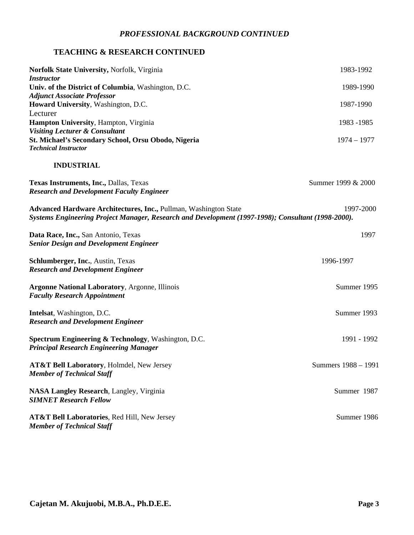## *PROFESSIONAL BACKGROUND CONTINUED*

## **TEACHING & RESEARCH CONTINUED**

| Norfolk State University, Norfolk, Virginia                                                                                                                            | 1983-1992           |
|------------------------------------------------------------------------------------------------------------------------------------------------------------------------|---------------------|
| <b>Instructor</b><br>Univ. of the District of Columbia, Washington, D.C.                                                                                               | 1989-1990           |
| <b>Adjunct Associate Professor</b>                                                                                                                                     |                     |
| Howard University, Washington, D.C.                                                                                                                                    | 1987-1990           |
| Lecturer                                                                                                                                                               |                     |
| Hampton University, Hampton, Virginia                                                                                                                                  | 1983 - 1985         |
| <b>Visiting Lecturer &amp; Consultant</b><br>St. Michael's Secondary School, Orsu Obodo, Nigeria                                                                       | $1974 - 1977$       |
| <b>Technical Instructor</b>                                                                                                                                            |                     |
| <b>INDUSTRIAL</b>                                                                                                                                                      |                     |
| Texas Instruments, Inc., Dallas, Texas<br><b>Research and Development Faculty Engineer</b>                                                                             | Summer 1999 & 2000  |
| Advanced Hardware Architectures, Inc., Pullman, Washington State<br>Systems Engineering Project Manager, Research and Development (1997-1998); Consultant (1998-2000). | 1997-2000           |
| Data Race, Inc., San Antonio, Texas<br><b>Senior Design and Development Engineer</b>                                                                                   | 1997                |
| Schlumberger, Inc., Austin, Texas<br><b>Research and Development Engineer</b>                                                                                          | 1996-1997           |
| <b>Argonne National Laboratory, Argonne, Illinois</b><br><b>Faculty Research Appointment</b>                                                                           | Summer 1995         |
| Intelsat, Washington, D.C.<br><b>Research and Development Engineer</b>                                                                                                 | Summer 1993         |
| Spectrum Engineering & Technology, Washington, D.C.<br><b>Principal Research Engineering Manager</b>                                                                   | 1991 - 1992         |
| <b>AT&amp;T Bell Laboratory, Holmdel, New Jersey</b><br><b>Member of Technical Staff</b>                                                                               | Summers 1988 - 1991 |
| <b>NASA Langley Research</b> , Langley, Virginia<br><b>SIMNET Research Fellow</b>                                                                                      | Summer 1987         |
| AT&T Bell Laboratories, Red Hill, New Jersey<br><b>Member of Technical Staff</b>                                                                                       | Summer 1986         |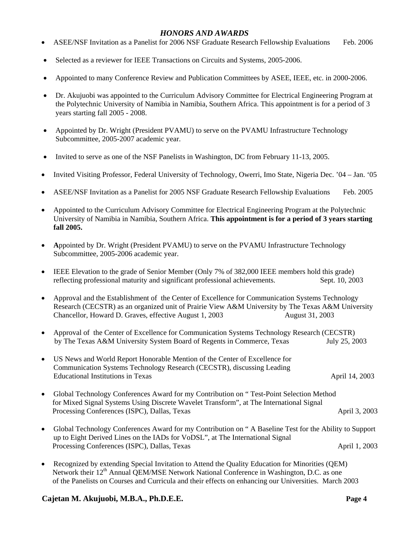## *HONORS AND AWARDS*

- ASEE/NSF Invitation as a Panelist for 2006 NSF Graduate Research Fellowship Evaluations Feb. 2006
- Selected as a reviewer for IEEE Transactions on Circuits and Systems, 2005-2006.
- Appointed to many Conference Review and Publication Committees by ASEE, IEEE, etc. in 2000-2006.
- Dr. Akujuobi was appointed to the Curriculum Advisory Committee for Electrical Engineering Program at the Polytechnic University of Namibia in Namibia, Southern Africa. This appointment is for a period of 3 years starting fall 2005 - 2008.
- Appointed by Dr. Wright (President PVAMU) to serve on the PVAMU Infrastructure Technology Subcommittee, 2005-2007 academic year.
- Invited to serve as one of the NSF Panelists in Washington, DC from February 11-13, 2005.
- Invited Visiting Professor, Federal University of Technology, Owerri, Imo State, Nigeria Dec. '04 Jan. '05
- ASEE/NSF Invitation as a Panelist for 2005 NSF Graduate Research Fellowship Evaluations Feb. 2005
- Appointed to the Curriculum Advisory Committee for Electrical Engineering Program at the Polytechnic University of Namibia in Namibia, Southern Africa. **This appointment is for a period of 3 years starting fall 2005.**
- Appointed by Dr. Wright (President PVAMU) to serve on the PVAMU Infrastructure Technology Subcommittee, 2005-2006 academic year.
- IEEE Elevation to the grade of Senior Member (Only 7% of 382,000 IEEE members hold this grade) reflecting professional maturity and significant professional achievements. Sept. 10, 2003
- Approval and the Establishment of the Center of Excellence for Communication Systems Technology Research (CECSTR) as an organized unit of Prairie View A&M University by The Texas A&M University Chancellor, Howard D. Graves, effective August 1, 2003 August 31, 2003
- Approval of the Center of Excellence for Communication Systems Technology Research (CECSTR) by The Texas A&M University System Board of Regents in Commerce, Texas July 25, 2003
- US News and World Report Honorable Mention of the Center of Excellence for Communication Systems Technology Research (CECSTR), discussing Leading Educational Institutions in Texas April 14, 2003
- Global Technology Conferences Award for my Contribution on " Test-Point Selection Method for Mixed Signal Systems Using Discrete Wavelet Transform", at The International Signal Processing Conferences (ISPC), Dallas, Texas April 3, 2003
- Global Technology Conferences Award for my Contribution on " A Baseline Test for the Ability to Support up to Eight Derived Lines on the IADs for VoDSL", at The International Signal Processing Conferences (ISPC), Dallas, Texas April 1, 2003
- Recognized by extending Special Invitation to Attend the Quality Education for Minorities (QEM) Network their 12<sup>th</sup> Annual QEM/MSE Network National Conference in Washington, D.C. as one of the Panelists on Courses and Curricula and their effects on enhancing our Universities. March 2003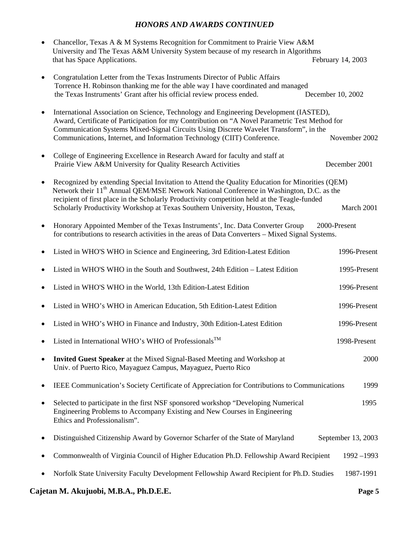## *HONORS AND AWARDS CONTINUED*

|           | Chancellor, Texas A & M Systems Recognition for Commitment to Prairie View A&M<br>University and The Texas A&M University System because of my research in Algorithms<br>that has Space Applications.                                                                                                                                                                                    | February 14, 2003  |
|-----------|------------------------------------------------------------------------------------------------------------------------------------------------------------------------------------------------------------------------------------------------------------------------------------------------------------------------------------------------------------------------------------------|--------------------|
| $\bullet$ | Congratulation Letter from the Texas Instruments Director of Public Affairs<br>Torrence H. Robinson thanking me for the able way I have coordinated and managed<br>the Texas Instruments' Grant after his official review process ended.                                                                                                                                                 | December 10, 2002  |
| $\bullet$ | International Association on Science, Technology and Engineering Development (IASTED),<br>Award, Certificate of Participation for my Contribution on "A Novel Parametric Test Method for<br>Communication Systems Mixed-Signal Circuits Using Discrete Wavelet Transform", in the<br>Communications, Internet, and Information Technology (CIIT) Conference.                             | November 2002      |
|           | College of Engineering Excellence in Research Award for faculty and staff at<br>Prairie View A&M University for Quality Research Activities                                                                                                                                                                                                                                              | December 2001      |
| $\bullet$ | Recognized by extending Special Invitation to Attend the Quality Education for Minorities (QEM)<br>Network their 11 <sup>th</sup> Annual QEM/MSE Network National Conference in Washington, D.C. as the<br>recipient of first place in the Scholarly Productivity competition held at the Teagle-funded<br>Scholarly Productivity Workshop at Texas Southern University, Houston, Texas, | March 2001         |
| $\bullet$ | Honorary Appointed Member of the Texas Instruments', Inc. Data Converter Group<br>for contributions to research activities in the areas of Data Converters – Mixed Signal Systems.                                                                                                                                                                                                       | 2000-Present       |
|           | Listed in WHO'S WHO in Science and Engineering, 3rd Edition-Latest Edition                                                                                                                                                                                                                                                                                                               | 1996-Present       |
|           | Listed in WHO'S WHO in the South and Southwest, 24th Edition – Latest Edition                                                                                                                                                                                                                                                                                                            | 1995-Present       |
|           | Listed in WHO'S WHO in the World, 13th Edition-Latest Edition                                                                                                                                                                                                                                                                                                                            | 1996-Present       |
|           | Listed in WHO's WHO in American Education, 5th Edition-Latest Edition                                                                                                                                                                                                                                                                                                                    | 1996-Present       |
|           | Listed in WHO's WHO in Finance and Industry, 30th Edition-Latest Edition                                                                                                                                                                                                                                                                                                                 | 1996-Present       |
|           | Listed in International WHO's WHO of Professionals <sup>TM</sup>                                                                                                                                                                                                                                                                                                                         | 1998-Present       |
|           | Invited Guest Speaker at the Mixed Signal-Based Meeting and Workshop at<br>Univ. of Puerto Rico, Mayaguez Campus, Mayaguez, Puerto Rico                                                                                                                                                                                                                                                  | 2000               |
|           | IEEE Communication's Society Certificate of Appreciation for Contributions to Communications                                                                                                                                                                                                                                                                                             | 1999               |
|           | Selected to participate in the first NSF sponsored workshop "Developing Numerical<br>Engineering Problems to Accompany Existing and New Courses in Engineering<br>Ethics and Professionalism".                                                                                                                                                                                           | 1995               |
|           | Distinguished Citizenship Award by Governor Scharfer of the State of Maryland                                                                                                                                                                                                                                                                                                            | September 13, 2003 |
|           | Commonwealth of Virginia Council of Higher Education Ph.D. Fellowship Award Recipient                                                                                                                                                                                                                                                                                                    | $1992 - 1993$      |
|           | Norfolk State University Faculty Development Fellowship Award Recipient for Ph.D. Studies                                                                                                                                                                                                                                                                                                | 1987-1991          |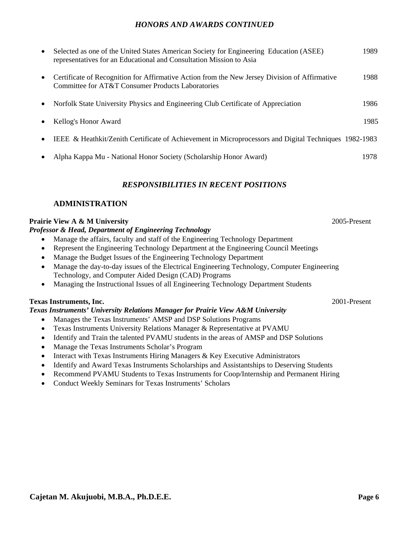## *HONORS AND AWARDS CONTINUED*

| $\bullet$ | Selected as one of the United States American Society for Engineering Education (ASEE)<br>representatives for an Educational and Consultation Mission to Asia | 1989 |
|-----------|---------------------------------------------------------------------------------------------------------------------------------------------------------------|------|
| $\bullet$ | Certificate of Recognition for Affirmative Action from the New Jersey Division of Affirmative<br>Committee for AT&T Consumer Products Laboratories            | 1988 |
| $\bullet$ | Norfolk State University Physics and Engineering Club Certificate of Appreciation                                                                             | 1986 |
|           | Kellog's Honor Award                                                                                                                                          | 1985 |
| $\bullet$ | IEEE & Heathkit/Zenith Certificate of Achievement in Microprocessors and Digital Techniques 1982-1983                                                         |      |
|           | Alpha Kappa Mu - National Honor Society (Scholarship Honor Award)                                                                                             | 1978 |

## *RESPONSIBILITIES IN RECENT POSITIONS*

## **ADMINISTRATION**

## **Prairie View A & M University 2005-Present 2005-Present**

## *Professor & Head, Department of Engineering Technology*

- Manage the affairs, faculty and staff of the Engineering Technology Department
- Represent the Engineering Technology Department at the Engineering Council Meetings
- Manage the Budget Issues of the Engineering Technology Department
- Manage the day-to-day issues of the Electrical Engineering Technology, Computer Engineering Technology, and Computer Aided Design (CAD) Programs
- Managing the Instructional Issues of all Engineering Technology Department Students

### **Texas Instruments, Inc.** 2001-Present

#### *Texas Instruments' University Relations Manager for Prairie View A&M University*

- Manages the Texas Instruments' AMSP and DSP Solutions Programs
- Texas Instruments University Relations Manager & Representative at PVAMU
- Identify and Train the talented PVAMU students in the areas of AMSP and DSP Solutions
- Manage the Texas Instruments Scholar's Program
- Interact with Texas Instruments Hiring Managers & Key Executive Administrators
- Identify and Award Texas Instruments Scholarships and Assistantships to Deserving Students
- Recommend PVAMU Students to Texas Instruments for Coop/Internship and Permanent Hiring
- Conduct Weekly Seminars for Texas Instruments' Scholars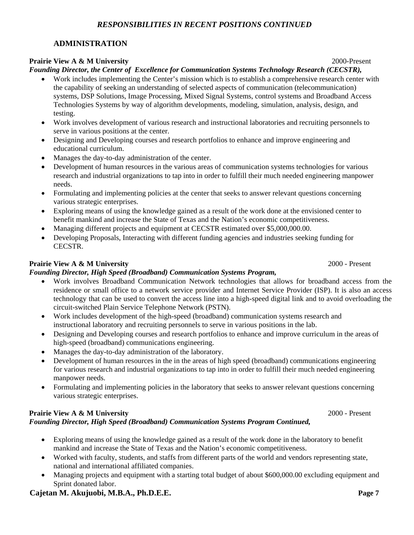## *RESPONSIBILITIES IN RECENT POSITIONS CONTINUED*

## **ADMINISTRATION**

## **Prairie View A & M University 2000-Present 2000-Present**

*Founding Director, the Center of Excellence for Communication Systems Technology Research (CECSTR),* 

- Work includes implementing the Center's mission which is to establish a comprehensive research center with the capability of seeking an understanding of selected aspects of communication (telecommunication) systems, DSP Solutions, Image Processing, Mixed Signal Systems, control systems and Broadband Access Technologies Systems by way of algorithm developments, modeling, simulation, analysis, design, and testing.
- Work involves development of various research and instructional laboratories and recruiting personnels to serve in various positions at the center.
- Designing and Developing courses and research portfolios to enhance and improve engineering and educational curriculum.
- Manages the day-to-day administration of the center.
- Development of human resources in the various areas of communication systems technologies for various research and industrial organizations to tap into in order to fulfill their much needed engineering manpower needs.
- Formulating and implementing policies at the center that seeks to answer relevant questions concerning various strategic enterprises.
- Exploring means of using the knowledge gained as a result of the work done at the envisioned center to benefit mankind and increase the State of Texas and the Nation's economic competitiveness.
- Managing different projects and equipment at CECSTR estimated over \$5,000,000.00.
- Developing Proposals, Interacting with different funding agencies and industries seeking funding for CECSTR.

## **Prairie View A & M University** 2000 - Present

## *Founding Director, High Speed (Broadband) Communication Systems Program,*

- Work involves Broadband Communication Network technologies that allows for broadband access from the residence or small office to a network service provider and Internet Service Provider (ISP). It is also an access technology that can be used to convert the access line into a high-speed digital link and to avoid overloading the circuit-switched Plain Service Telephone Network (PSTN).
- Work includes development of the high-speed (broadband) communication systems research and instructional laboratory and recruiting personnels to serve in various positions in the lab.
- Designing and Developing courses and research portfolios to enhance and improve curriculum in the areas of high-speed (broadband) communications engineering.
- Manages the day-to-day administration of the laboratory.
- Development of human resources in the in the areas of high speed (broadband) communications engineering for various research and industrial organizations to tap into in order to fulfill their much needed engineering manpower needs.
- Formulating and implementing policies in the laboratory that seeks to answer relevant questions concerning various strategic enterprises.

## **Prairie View A & M University** 2000 - Present *Founding Director, High Speed (Broadband) Communication Systems Program Continued,*

- Exploring means of using the knowledge gained as a result of the work done in the laboratory to benefit mankind and increase the State of Texas and the Nation's economic competitiveness.
- Worked with faculty, students, and staffs from different parts of the world and vendors representing state, national and international affiliated companies.
- Managing projects and equipment with a starting total budget of about \$600,000.00 excluding equipment and Sprint donated labor.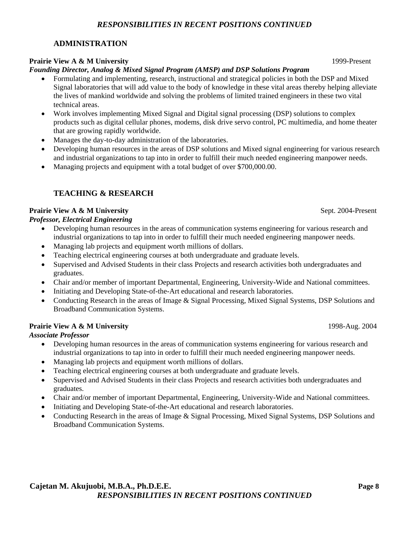## *RESPONSIBILITIES IN RECENT POSITIONS CONTINUED*

## **ADMINISTRATION**

## **Prairie View A & M University** 1999-Present

## *Founding Director, Analog & Mixed Signal Program (AMSP) and DSP Solutions Program*

- Formulating and implementing, research, instructional and strategical policies in both the DSP and Mixed Signal laboratories that will add value to the body of knowledge in these vital areas thereby helping alleviate the lives of mankind worldwide and solving the problems of limited trained engineers in these two vital technical areas.
- Work involves implementing Mixed Signal and Digital signal processing (DSP) solutions to complex products such as digital cellular phones, modems, disk drive servo control, PC multimedia, and home theater that are growing rapidly worldwide.
- Manages the day-to-day administration of the laboratories.
- Developing human resources in the areas of DSP solutions and Mixed signal engineering for various research and industrial organizations to tap into in order to fulfill their much needed engineering manpower needs.
- Managing projects and equipment with a total budget of over \$700,000.00.

## **TEACHING & RESEARCH**

## **Prairie View A & M University Sept. 2004-Present**

## *Professor, Electrical Engineering*

- Developing human resources in the areas of communication systems engineering for various research and industrial organizations to tap into in order to fulfill their much needed engineering manpower needs.
- Managing lab projects and equipment worth millions of dollars.
- Teaching electrical engineering courses at both undergraduate and graduate levels.
- Supervised and Advised Students in their class Projects and research activities both undergraduates and graduates.
- Chair and/or member of important Departmental, Engineering, University-Wide and National committees.
- Initiating and Developing State-of-the-Art educational and research laboratories.
- Conducting Research in the areas of Image & Signal Processing, Mixed Signal Systems, DSP Solutions and Broadband Communication Systems.

## **Prairie View A & M University** 1998-Aug. 2004

## *Associate Professor*

- Developing human resources in the areas of communication systems engineering for various research and industrial organizations to tap into in order to fulfill their much needed engineering manpower needs.
- Managing lab projects and equipment worth millions of dollars.
- Teaching electrical engineering courses at both undergraduate and graduate levels.
- Supervised and Advised Students in their class Projects and research activities both undergraduates and graduates.
- Chair and/or member of important Departmental, Engineering, University-Wide and National committees.
- Initiating and Developing State-of-the-Art educational and research laboratories.
- Conducting Research in the areas of Image & Signal Processing, Mixed Signal Systems, DSP Solutions and Broadband Communication Systems.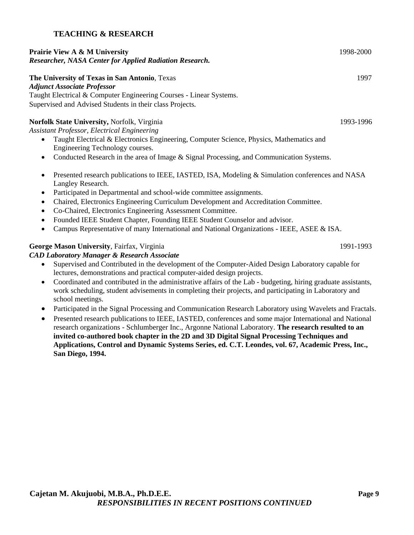## **TEACHING & RESEARCH**

## **Prairie View A & M University** 1998-2000 *Researcher, NASA Center for Applied Radiation Research.*

## **The University of Texas in San Antonio**, Texas 1997

*Adjunct Associate Professor* 

Taught Electrical & Computer Engineering Courses - Linear Systems. Supervised and Advised Students in their class Projects*.*

## **Norfolk State University,** Norfolk, Virginia 1993-1996

*Assistant Professor, Electrical Engineering* 

- Taught Electrical & Electronics Engineering, Computer Science, Physics, Mathematics and Engineering Technology courses.
- Conducted Research in the area of Image & Signal Processing, and Communication Systems.
- Presented research publications to IEEE, IASTED, ISA, Modeling & Simulation conferences and NASA Langley Research.
- Participated in Departmental and school-wide committee assignments.
- Chaired, Electronics Engineering Curriculum Development and Accreditation Committee.
- Co-Chaired, Electronics Engineering Assessment Committee.
- Founded IEEE Student Chapter, Founding IEEE Student Counselor and advisor.
- Campus Representative of many International and National Organizations IEEE, ASEE & ISA.

## **George Mason University**, Fairfax, Virginia 1991-1993

*CAD Laboratory Manager & Research Associate* 

- Supervised and Contributed in the development of the Computer-Aided Design Laboratory capable for lectures, demonstrations and practical computer-aided design projects.
- Coordinated and contributed in the administrative affairs of the Lab budgeting, hiring graduate assistants, work scheduling, student advisements in completing their projects, and participating in Laboratory and school meetings.
- Participated in the Signal Processing and Communication Research Laboratory using Wavelets and Fractals.
- Presented research publications to IEEE, IASTED, conferences and some major International and National research organizations - Schlumberger Inc., Argonne National Laboratory. **The research resulted to an invited co-authored book chapter in the 2D and 3D Digital Signal Processing Techniques and Applications, Control and Dynamic Systems Series, ed. C.T. Leondes, vol. 67, Academic Press, Inc., San Diego, 1994.**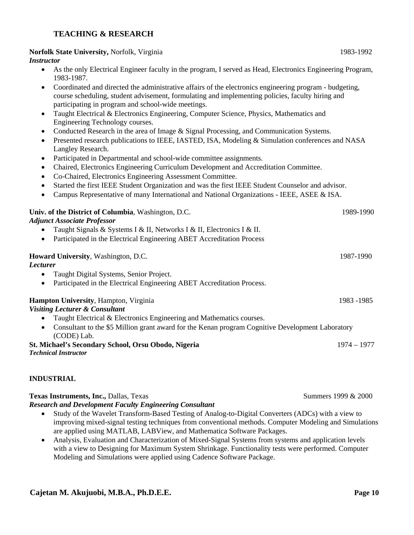## **TEACHING & RESEARCH**

## **Norfolk State University,** Norfolk, Virginia 1983-1992 *Instructor*  • As the only Electrical Engineer faculty in the program, I served as Head, Electronics Engineering Program, 1983-1987. • Coordinated and directed the administrative affairs of the electronics engineering program - budgeting, course scheduling, student advisement, formulating and implementing policies, faculty hiring and participating in program and school-wide meetings. • Taught Electrical & Electronics Engineering, Computer Science, Physics, Mathematics and Engineering Technology courses. • Conducted Research in the area of Image & Signal Processing, and Communication Systems. • Presented research publications to IEEE, IASTED, ISA, Modeling & Simulation conferences and NASA Langley Research. • Participated in Departmental and school-wide committee assignments. • Chaired, Electronics Engineering Curriculum Development and Accreditation Committee. • Co-Chaired, Electronics Engineering Assessment Committee. • Started the first IEEE Student Organization and was the first IEEE Student Counselor and advisor. • Campus Representative of many International and National Organizations - IEEE, ASEE & ISA. **Univ. of the District of Columbia**, Washington, D.C. 1989-1990 *Adjunct Associate Professor*  • Taught Signals & Systems I & II, Networks I & II, Electronics I & II. • Participated in the Electrical Engineering ABET Accreditation Process **Howard University**, Washington, D.C. 1987-1990 *Lecturer*  • Taught Digital Systems, Senior Project. • Participated in the Electrical Engineering ABET Accreditation Process. **Hampton University**, Hampton, Virginia 1983 -1985 *Visiting Lecturer & Consultant*  • Taught Electrical & Electronics Engineering and Mathematics courses. • Consultant to the \$5 Million grant award for the Kenan program Cognitive Development Laboratory (CODE) Lab. **St. Michael's Secondary School, Orsu Obodo, Nigeria** 1974 – 1977 *Technical Instructor*

## **INDUSTRIAL**

| Texas Instruments, Inc., Dallas, Texas                                                                             | Summers 1999 & 2000 |
|--------------------------------------------------------------------------------------------------------------------|---------------------|
| <b>Research and Development Faculty Engineering Consultant</b>                                                     |                     |
| Study of the Wavelet Transform-Based Testing of Analog-to-Digital Converters (ADCs) with a view to<br>$\bullet$    |                     |
| improving mixed-signal testing techniques from conventional methods. Computer Modeling and Simulations             |                     |
| are applied using MATLAB, LABView, and Mathematica Software Packages.                                              |                     |
| Analysis, Evaluation and Characterization of Mixed-Signal Systems from systems and application levels<br>$\bullet$ |                     |

with a view to Designing for Maximum System Shrinkage. Functionality tests were performed. Computer Modeling and Simulations were applied using Cadence Software Package.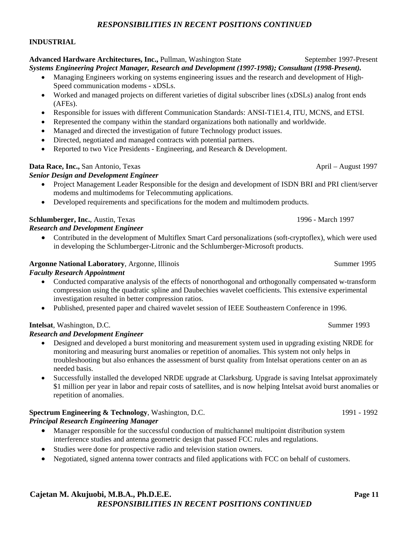## *RESPONSIBILITIES IN RECENT POSITIONS CONTINUED*

#### **INDUSTRIAL**

#### Advanced Hardware Architectures, Inc., Pullman, Washington State September 1997-Present *Systems Engineering Project Manager, Research and Development (1997-1998); Consultant (1998-Present).*

- Managing Engineers working on systems engineering issues and the research and development of High-Speed communication modems - xDSLs.
- Worked and managed projects on different varieties of digital subscriber lines (xDSLs) analog front ends (AFEs).
- Responsible for issues with different Communication Standards: ANSI-T1E1.4, ITU, MCNS, and ETSI.
- Represented the company within the standard organizations both nationally and worldwide.
- Managed and directed the investigation of future Technology product issues.
- Directed, negotiated and managed contracts with potential partners.
- Reported to two Vice Presidents Engineering, and Research & Development.

## **Data Race, Inc., San Antonio, Texas April – August 1997** April – August 1997

## *Senior Design and Development Engineer*

- Project Management Leader Responsible for the design and development of ISDN BRI and PRI client/server modems and multimodems for Telecommuting applications.
- Developed requirements and specifications for the modem and multimodem products.

## **Schlumberger, Inc.**, Austin, Texas 1996 - March 1997

## *Research and Development Engineer*

• Contributed in the development of Multiflex Smart Card personalizations (soft-cryptoflex), which were used in developing the Schlumberger-Litronic and the Schlumberger-Microsoft products.

#### **Argonne National Laboratory, Argonne, Illinois Summer 1995** Summer 1995

#### *Faculty Research Appointment*

- Conducted comparative analysis of the effects of nonorthogonal and orthogonally compensated w-transform compression using the quadratic spline and Daubechies wavelet coefficients. This extensive experimental investigation resulted in better compression ratios.
- Published, presented paper and chaired wavelet session of IEEE Southeastern Conference in 1996.

## **Intelsat**, Washington, D.C. Summer 1993

#### *Research and Development Engineer*

- Designed and developed a burst monitoring and measurement system used in upgrading existing NRDE for monitoring and measuring burst anomalies or repetition of anomalies. This system not only helps in troubleshooting but also enhances the assessment of burst quality from Intelsat operations center on an as needed basis.
- Successfully installed the developed NRDE upgrade at Clarksburg. Upgrade is saving Intelsat approximately \$1 million per year in labor and repair costs of satellites, and is now helping Intelsat avoid burst anomalies or repetition of anomalies.

## **Spectrum Engineering & Technology**, Washington, D.C. 1991 - 1992 *Principal Research Engineering Manager*

- Manager responsible for the successful conduction of multichannel multipoint distribution system interference studies and antenna geometric design that passed FCC rules and regulations.
- Studies were done for prospective radio and television station owners.
- Negotiated, signed antenna tower contracts and filed applications with FCC on behalf of customers.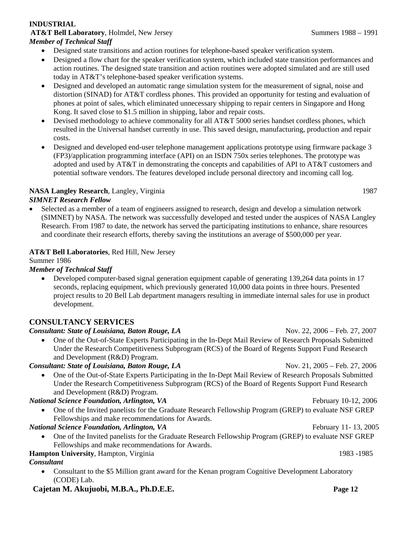## **INDUSTRIAL**

## **AT&T Bell Laboratory**, Holmdel, New Jersey Summers 1988 – 1991 *Member of Technical Staff*

- Designed state transitions and action routines for telephone-based speaker verification system.
- Designed a flow chart for the speaker verification system, which included state transition performances and action routines. The designed state transition and action routines were adopted simulated and are still used today in AT&T's telephone-based speaker verification systems.
- Designed and developed an automatic range simulation system for the measurement of signal, noise and distortion (SINAD) for AT&T cordless phones. This provided an opportunity for testing and evaluation of phones at point of sales, which eliminated unnecessary shipping to repair centers in Singapore and Hong Kong. It saved close to \$1.5 million in shipping, labor and repair costs.
- Devised methodology to achieve commonality for all AT&T 5000 series handset cordless phones, which resulted in the Universal handset currently in use. This saved design, manufacturing, production and repair costs.
- Designed and developed end-user telephone management applications prototype using firmware package 3 (FP3)/application programming interface (API) on an ISDN 750x series telephones. The prototype was adopted and used by AT&T in demonstrating the concepts and capabilities of API to AT&T customers and potential software vendors. The features developed include personal directory and incoming call log.

# **NASA Langley Research**, Langley, Virginia 1987

*SIMNET Research Fellow* • Selected as a member of a team of engineers assigned to research, design and develop a simulation network (SIMNET) by NASA. The network was successfully developed and tested under the auspices of NASA Langley Research. From 1987 to date, the network has served the participating institutions to enhance, share resources and coordinate their research efforts, thereby saving the institutions an average of \$500,000 per year.

## **AT&T Bell Laboratories**, Red Hill, New Jersey

Summer 1986

*Member of Technical Staff*

• Developed computer-based signal generation equipment capable of generating 139,264 data points in 17 seconds, replacing equipment, which previously generated 10,000 data points in three hours. Presented project results to 20 Bell Lab department managers resulting in immediate internal sales for use in product development.

## **CONSULTANCY SERVICES**

## *Consultant: State of Louisiana, Baton Rouge, LA* Nov. 22, 2006 – Feb. 27, 2007

• One of the Out-of-State Experts Participating in the In-Dept Mail Review of Research Proposals Submitted Under the Research Competitiveness Subprogram (RCS) of the Board of Regents Support Fund Research and Development (R&D) Program.

## *Consultant: State of Louisiana, Baton Rouge, LA* Nov. 21, 2005 – Feb. 27, 2006

• One of the Out-of-State Experts Participating in the In-Dept Mail Review of Research Proposals Submitted Under the Research Competitiveness Subprogram (RCS) of the Board of Regents Support Fund Research and Development (R&D) Program.

## *National Science Foundation, Arlington, VA* February 10-12, 2006

• One of the Invited panelists for the Graduate Research Fellowship Program (GREP) to evaluate NSF GREP Fellowships and make recommendations for Awards.

## *National Science Foundation, Arlington, VA* February 11-13, 2005

• One of the Invited panelists for the Graduate Research Fellowship Program (GREP) to evaluate NSF GREP Fellowships and make recommendations for Awards.

## **Hampton University**, Hampton, Virginia 1983 -1985

## *Consultant*

• Consultant to the \$5 Million grant award for the Kenan program Cognitive Development Laboratory (CODE) Lab.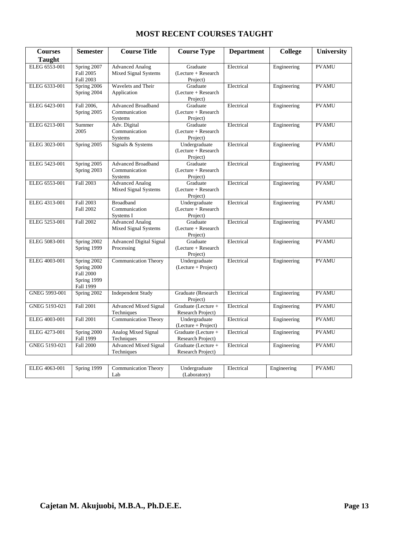| <b>Courses</b> | <b>Semester</b>                                                            | <b>Course Title</b>                                          | <b>Course Type</b>                               | <b>Department</b> | <b>College</b> | University   |
|----------------|----------------------------------------------------------------------------|--------------------------------------------------------------|--------------------------------------------------|-------------------|----------------|--------------|
| <b>Taught</b>  |                                                                            |                                                              |                                                  |                   |                |              |
| ELEG 6553-001  | Spring 2007<br>Fall 2005<br><b>Fall 2003</b>                               | <b>Advanced Analog</b><br><b>Mixed Signal Systems</b>        | Graduate<br>(Lecture + Research<br>Project)      | Electrical        | Engineering    | <b>PVAMU</b> |
| ELEG 6333-001  | Spring 2006<br>Spring 2004                                                 | Wavelets and Their<br>Application                            | Graduate<br>$(Lecture + Research)$<br>Project)   | Electrical        | Engineering    | <b>PVAMU</b> |
| ELEG 6423-001  | Fall 2006,<br>Spring 2005                                                  | <b>Advanced Broadband</b><br>Communication<br>Systems        | Graduate<br>(Lecture + Research<br>Project)      | Electrical        | Engineering    | <b>PVAMU</b> |
| ELEG 6213-001  | Summer<br>2005                                                             | Adv. Digital<br>Communication<br><b>Systems</b>              | Graduate<br>(Lecture + Research<br>Project)      | Electrical        | Engineering    | <b>PVAMU</b> |
| ELEG 3023-001  | Spring 2005                                                                | Signals & Systems                                            | Undergraduate<br>(Lecture + Research<br>Project) | Electrical        | Engineering    | <b>PVAMU</b> |
| ELEG 5423-001  | Spring 2005<br>Spring 2003                                                 | <b>Advanced Broadband</b><br>Communication<br><b>Systems</b> | Graduate<br>$(Lecture + Research)$<br>Project)   | Electrical        | Engineering    | <b>PVAMU</b> |
| ELEG 6553-001  | <b>Fall 2003</b>                                                           | <b>Advanced Analog</b><br>Mixed Signal Systems               | Graduate<br>$(Lecture + Research)$<br>Project)   | Electrical        | Engineering    | <b>PVAMU</b> |
| ELEG 4313-001  | <b>Fall 2003</b><br><b>Fall 2002</b>                                       | <b>Broadband</b><br>Communication<br>Systems I               | Undergraduate<br>(Lecture + Research<br>Project) | Electrical        | Engineering    | <b>PVAMU</b> |
| ELEG 5253-001  | Fall 2002                                                                  | <b>Advanced Analog</b><br>Mixed Signal Systems               | Graduate<br>$(Lecture + Research)$<br>Project)   | Electrical        | Engineering    | <b>PVAMU</b> |
| ELEG 5083-001  | Spring 2002<br>Spring 1999                                                 | <b>Advanced Digital Signal</b><br>Processing                 | Graduate<br>$(Lecture + Research)$<br>Project)   | Electrical        | Engineering    | <b>PVAMU</b> |
| ELEG 4003-001  | Spring 2002<br>Spring 2000<br><b>Fall 2000</b><br>Spring 1999<br>Fall 1999 | <b>Communication Theory</b>                                  | Undergraduate<br>$(Lecture + Project)$           | Electrical        | Engineering    | <b>PVAMU</b> |
| GNEG 5993-001  | Spring 2002                                                                | <b>Independent Study</b>                                     | Graduate (Research<br>Project)                   | Electrical        | Engineering    | <b>PVAMU</b> |
| GNEG 5193-021  | <b>Fall 2001</b>                                                           | <b>Advanced Mixed Signal</b><br>Techniques                   | Graduate (Lecture +<br>Research Project)         | Electrical        | Engineering    | <b>PVAMU</b> |
| ELEG 4003-001  | <b>Fall 2001</b>                                                           | <b>Communication Theory</b>                                  | Undergraduate<br>$(Lecture + Project)$           | Electrical        | Engineering    | <b>PVAMU</b> |
| ELEG 4273-001  | Spring 2000<br>Fall 1999                                                   | Analog Mixed Signal<br>Techniques                            | Graduate (Lecture +<br>Research Project)         | Electrical        | Engineering    | <b>PVAMU</b> |
| GNEG 5193-021  | <b>Fall 2000</b>                                                           | <b>Advanced Mixed Signal</b><br>Techniques                   | Graduate (Lecture +<br>Research Project)         | Electrical        | Engineering    | <b>PVAMU</b> |
|                |                                                                            |                                                              |                                                  |                   |                |              |
| ELEG 4063-001  | Spring 1999                                                                | <b>Communication Theory</b><br>Lab                           | Undergraduate<br>(Laboratory)                    | Electrical        | Engineering    | <b>PVAMU</b> |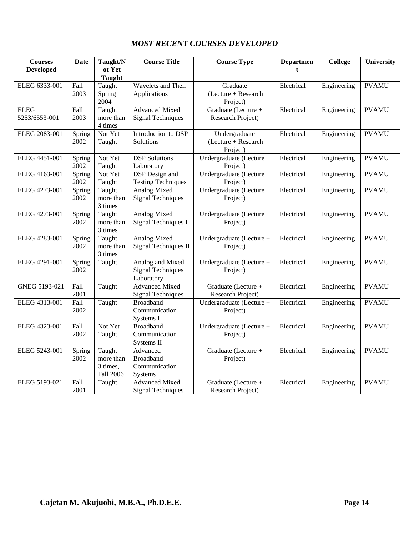## *MOST RECENT COURSES DEVELOPED*

| <b>Courses</b>               | <b>Date</b>    | Taught/N<br>ot Yet                                  | <b>Course Title</b>                                        | <b>Course Type</b>                               | <b>Departmen</b><br>$\mathbf{t}$ | <b>College</b> | University   |
|------------------------------|----------------|-----------------------------------------------------|------------------------------------------------------------|--------------------------------------------------|----------------------------------|----------------|--------------|
| <b>Developed</b>             |                | <b>Taught</b>                                       |                                                            |                                                  |                                  |                |              |
| ELEG 6333-001                | Fall<br>2003   | Taught<br>Spring<br>2004                            | Wavelets and Their<br>Applications                         | Graduate<br>$(Lecture + Research)$<br>Project)   | Electrical                       | Engineering    | <b>PVAMU</b> |
| <b>ELEG</b><br>5253/6553-001 | Fall<br>2003   | Taught<br>more than<br>4 times                      | <b>Advanced Mixed</b><br><b>Signal Techniques</b>          | Graduate (Lecture +<br>Research Project)         | Electrical                       | Engineering    | <b>PVAMU</b> |
| ELEG 2083-001                | Spring<br>2002 | Not Yet<br>Taught                                   | Introduction to DSP<br>Solutions                           | Undergraduate<br>(Lecture + Research<br>Project) | Electrical                       | Engineering    | <b>PVAMU</b> |
| ELEG 4451-001                | Spring<br>2002 | Not Yet<br>Taught                                   | <b>DSP</b> Solutions<br>Laboratory                         | Undergraduate (Lecture +<br>Project)             | Electrical                       | Engineering    | <b>PVAMU</b> |
| ELEG 4163-001                | Spring<br>2002 | Not Yet<br>Taught                                   | DSP Design and<br><b>Testing Techniques</b>                | Undergraduate (Lecture +<br>Project)             | Electrical                       | Engineering    | <b>PVAMU</b> |
| ELEG 4273-001                | Spring<br>2002 | Taught<br>more than<br>3 times                      | Analog Mixed<br><b>Signal Techniques</b>                   | Undergraduate (Lecture +<br>Project)             | Electrical                       | Engineering    | <b>PVAMU</b> |
| ELEG 4273-001                | Spring<br>2002 | Taught<br>more than<br>3 times                      | <b>Analog Mixed</b><br>Signal Techniques I                 | Undergraduate (Lecture +<br>Project)             | Electrical                       | Engineering    | <b>PVAMU</b> |
| ELEG 4283-001                | Spring<br>2002 | Taught<br>more than<br>3 times                      | <b>Analog Mixed</b><br>Signal Techniques II                | Undergraduate (Lecture +<br>Project)             | Electrical                       | Engineering    | <b>PVAMU</b> |
| ELEG 4291-001                | Spring<br>2002 | Taught                                              | Analog and Mixed<br><b>Signal Techniques</b><br>Laboratory | Undergraduate (Lecture +<br>Project)             | Electrical                       | Engineering    | <b>PVAMU</b> |
| GNEG 5193-021                | Fall<br>2001   | Taught                                              | <b>Advanced Mixed</b><br><b>Signal Techniques</b>          | Graduate (Lecture +<br>Research Project)         | Electrical                       | Engineering    | <b>PVAMU</b> |
| ELEG 4313-001                | Fall<br>2002   | Taught                                              | <b>Broadband</b><br>Communication<br>Systems I             | Undergraduate (Lecture +<br>Project)             | Electrical                       | Engineering    | <b>PVAMU</b> |
| ELEG 4323-001                | Fall<br>2002   | Not Yet<br>Taught                                   | <b>Broadband</b><br>Communication<br>Systems II            | Undergraduate (Lecture +<br>Project)             | Electrical                       | Engineering    | <b>PVAMU</b> |
| ELEG 5243-001                | Spring<br>2002 | Taught<br>more than<br>3 times,<br><b>Fall 2006</b> | Advanced<br><b>Broadband</b><br>Communication<br>Systems   | Graduate (Lecture +<br>Project)                  | Electrical                       | Engineering    | <b>PVAMU</b> |
| ELEG 5193-021                | Fall<br>2001   | Taught                                              | <b>Advanced Mixed</b><br><b>Signal Techniques</b>          | Graduate (Lecture +<br>Research Project)         | Electrical                       | Engineering    | <b>PVAMU</b> |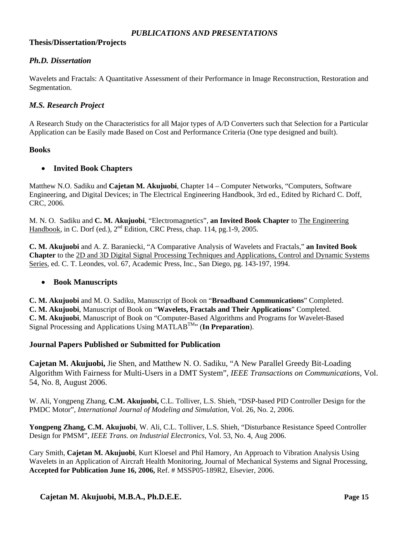## *PUBLICATIONS AND PRESENTATIONS*

## **Thesis/Dissertation/Projects**

## *Ph.D. Dissertation*

Wavelets and Fractals: A Quantitative Assessment of their Performance in Image Reconstruction, Restoration and Segmentation.

## *M.S. Research Project*

A Research Study on the Characteristics for all Major types of A/D Converters such that Selection for a Particular Application can be Easily made Based on Cost and Performance Criteria (One type designed and built).

## **Books**

## • **Invited Book Chapters**

Matthew N.O. Sadiku and **Cajetan M. Akujuobi**, Chapter 14 – Computer Networks, "Computers, Software Engineering, and Digital Devices; in The Electrical Engineering Handbook, 3rd ed., Edited by Richard C. Doff, CRC, 2006.

M. N. O. Sadiku and **C. M. Akujuobi**, "Electromagnetics", **an Invited Book Chapter** to The Engineering Handbook, in C. Dorf (ed.), 2<sup>nd</sup> Edition, CRC Press, chap. 114, pg. 1-9, 2005.

**C. M. Akujuobi** and A. Z. Baraniecki, "A Comparative Analysis of Wavelets and Fractals," **an Invited Book Chapter** to the 2D and 3D Digital Signal Processing Techniques and Applications, Control and Dynamic Systems Series, ed. C. T. Leondes, vol. 67, Academic Press, Inc., San Diego, pg. 143-197, 1994.

#### • **Book Manuscripts**

**C. M. Akujuobi** and M. O. Sadiku, Manuscript of Book on "**Broadband Communications**" Completed. **C. M. Akujuobi**, Manuscript of Book on "**Wavelets, Fractals and Their Applications**" Completed. **C. M. Akujuobi**, Manuscript of Book on "Computer-Based Algorithms and Programs for Wavelet-Based Signal Processing and Applications Using MATLABTM" (**In Preparation**).

#### **Journal Papers Published or Submitted for Publication**

**Cajetan M. Akujuobi,** Jie Shen, and Matthew N. O. Sadiku, "A New Parallel Greedy Bit-Loading Algorithm With Fairness for Multi-Users in a DMT System", *IEEE Transactions on Communications,* Vol. 54, No. 8, August 2006.

W. Ali, Yongpeng Zhang, **C.M. Akujuobi,** C.L. Tolliver, L.S. Shieh, "DSP-based PID Controller Design for the PMDC Motor", *International Journal of Modeling and Simulation*, Vol. 26, No. 2, 2006.

**Yongpeng Zhang, C.M. Akujuobi**, W. Ali, C.L. Tolliver, L.S. Shieh, "Disturbance Resistance Speed Controller Design for PMSM", *IEEE Trans. on Industrial Electronics*, Vol. 53, No. 4, Aug 2006.

Cary Smith, **Cajetan M. Akujuobi**, Kurt Kloesel and Phil Hamory, An Approach to Vibration Analysis Using Wavelets in an Application of Aircraft Health Monitoring, Journal of Mechanical Systems and Signal Processing, **Accepted for Publication June 16, 2006,** Ref. # MSSP05-189R2, Elsevier, 2006.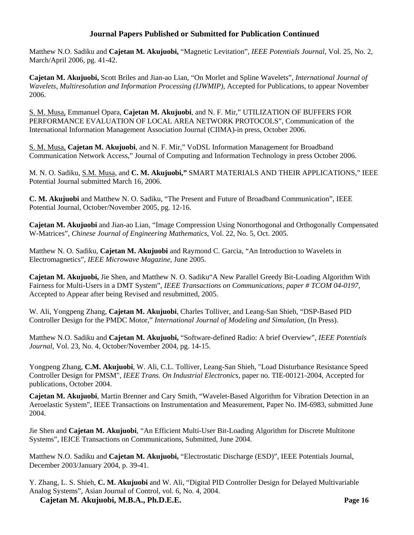## **Journal Papers Published or Submitted for Publication Continued**

Matthew N.O. Sadiku and **Cajetan M. Akujuobi,** "Magnetic Levitation", *IEEE Potentials Journal*, Vol. 25, No. 2, March/April 2006, pg. 41-42.

**Cajetan M. Akujuobi,** Scott Briles and Jian-ao Lian, "On Morlet and Spline Wavelets", *International Journal of Wavelets, Multiresolution and Information Processing (IJWMIP)*, Accepted for Publications, to appear November 2006.

S. M. Musa, Emmanuel Opara, **Cajetan M. Akujuobi**, and N. F. Mir," UTILIZATION OF BUFFERS FOR PERFORMANCE EVALUATION OF LOCAL AREA NETWORK PROTOCOLS", Communication of the International Information Management Association Journal (CIIMA)-in press, October 2006.

S. M. Musa, **Cajetan M. Akujuobi**, and N. F. Mir," VoDSL Information Management for Broadband Communication Network Access," Journal of Computing and Information Technology in press October 2006.

M. N. O. Sadiku, S.M. Musa, and **C. M. Akujuobi,"** SMART MATERIALS AND THEIR APPLICATIONS," IEEE Potential Journal submitted March 16, 2006.

**C. M. Akujuobi** and Matthew N. O. Sadiku, "The Present and Future of Broadband Communication", IEEE Potential Journal, October/November 2005, pg. 12-16.

**Cajetan M. Akujuobi** and Jian-ao Lian, "Image Compression Using Nonorthogonal and Orthogonally Compensated W-Matrices", *Chinese Journal of Engineering Mathematics*, Vol. 22, No. 5, Oct. 2005.

Matthew N. O. Sadiku, **Cajetan M. Akujuobi** and Raymond C. Garcia, "An Introduction to Wavelets in Electromagnetics", *IEEE Microwave Magazine*, June 2005.

**Cajetan M. Akujuobi,** Jie Shen, and Matthew N. O. Sadiku"A New Parallel Greedy Bit-Loading Algorithm With Fairness for Multi-Users in a DMT System", *IEEE Transactions on Communications, paper # TCOM 04-0197*, Accepted to Appear after being Revised and resubmitted, 2005.

W. Ali, Yongpeng Zhang, **Cajetan M. Akujuobi**, Charles Tolliver, and Leang-San Shieh, "DSP-Based PID Controller Design for the PMDC Motor," *International Journal of Modeling and Simulation*, (In Press).

Matthew N.O. Sadiku and **Cajetan M. Akujuobi,** "Software-defined Radio: A brief Overview", *IEEE Potentials Journal*, Vol. 23, No. 4, October/November 2004, pg. 14-15.

Yongpeng Zhang, **C.M. Akujuobi**, W. Ali, C.L. Tolliver, Leang-San Shieh, "Load Disturbance Resistance Speed Controller Design for PMSM", *IEEE Trans. On Industrial Electronics*, paper no. TIE-00121-2004, Accepted for publications, October 2004.

**Cajetan M. Akujuobi**, Martin Brenner and Cary Smith, "Wavelet-Based Algorithm for Vibration Detection in an Aeroelastic System", IEEE Transactions on Instrumentation and Measurement, Paper No. IM-6983, submitted June 2004.

Jie Shen and **Cajetan M. Akujuobi**, "An Efficient Multi-User Bit-Loading Algorithm for Discrete Multitone Systems", IEICE Transactions on Communications, Submitted, June 2004.

Matthew N.O. Sadiku and **Cajetan M. Akujuobi,** "Electrostatic Discharge (ESD)", IEEE Potentials Journal, December 2003/January 2004, p. 39-41.

Y. Zhang, L. S. Shieh, **C. M. Akujuobi** and W. Ali, "Digital PID Controller Design for Delayed Multivariable Analog Systems", Asian Journal of Control, vol. 6, No. 4, 2004.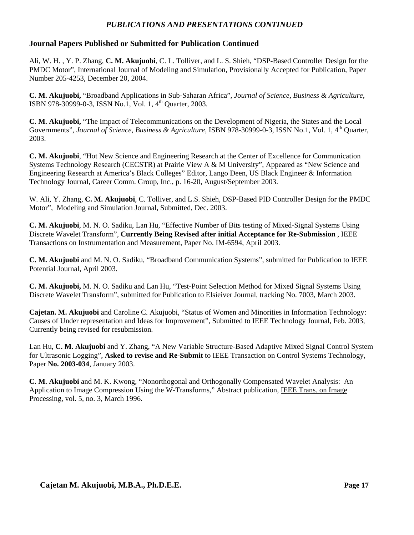## **Journal Papers Published or Submitted for Publication Continued**

Ali, W. H. , Y. P. Zhang, **C. M. Akujuobi**, C. L. Tolliver, and L. S. Shieh, "DSP-Based Controller Design for the PMDC Motor", International Journal of Modeling and Simulation, Provisionally Accepted for Publication, Paper Number 205-4253, December 20, 2004.

**C. M. Akujuobi,** "Broadband Applications in Sub-Saharan Africa", *Journal of Science, Business & Agriculture*, ISBN 978-30999-0-3, ISSN No.1, Vol. 1, 4<sup>th</sup> Quarter, 2003.

**C. M. Akujuobi,** "The Impact of Telecommunications on the Development of Nigeria, the States and the Local Governments", *Journal of Science, Business & Agriculture*, ISBN 978-30999-0-3, ISSN No.1, Vol. 1, 4<sup>th</sup> Quarter, 2003.

**C. M. Akujuobi**, "Hot New Science and Engineering Research at the Center of Excellence for Communication Systems Technology Research (CECSTR) at Prairie View A & M University", Appeared as "New Science and Engineering Research at America's Black Colleges" Editor, Lango Deen, US Black Engineer & Information Technology Journal, Career Comm. Group, Inc., p. 16-20, August/September 2003.

W. Ali, Y. Zhang, **C. M. Akujuobi**, C. Tolliver, and L.S. Shieh, DSP-Based PID Controller Design for the PMDC Motor", Modeling and Simulation Journal, Submitted, Dec. 2003.

**C. M. Akujuobi**, M. N. O. Sadiku, Lan Hu, "Effective Number of Bits testing of Mixed-Signal Systems Using Discrete Wavelet Transform", **Currently Being Revised after initial Acceptance for Re-Submission** , IEEE Transactions on Instrumentation and Measurement, Paper No. IM-6594, April 2003.

**C. M. Akujuobi** and M. N. O. Sadiku, "Broadband Communication Systems", submitted for Publication to IEEE Potential Journal, April 2003.

**C. M. Akujuobi,** M. N. O. Sadiku and Lan Hu, "Test-Point Selection Method for Mixed Signal Systems Using Discrete Wavelet Transform", submitted for Publication to Elsieiver Journal, tracking No. 7003, March 2003.

**Cajetan. M. Akujuobi** and Caroline C. Akujuobi, "Status of Women and Minorities in Information Technology: Causes of Under representation and Ideas for Improvement", Submitted to IEEE Technology Journal, Feb. 2003, Currently being revised for resubmission.

Lan Hu, **C. M. Akujuobi** and Y. Zhang, "A New Variable Structure-Based Adaptive Mixed Signal Control System for Ultrasonic Logging", **Asked to revise and Re-Submit** to IEEE Transaction on Control Systems Technology, Paper **No. 2003-034**, January 2003.

**C. M. Akujuobi** and M. K. Kwong, "Nonorthogonal and Orthogonally Compensated Wavelet Analysis: An Application to Image Compression Using the W-Transforms," Abstract publication, IEEE Trans. on Image Processing, vol. 5, no. 3, March 1996.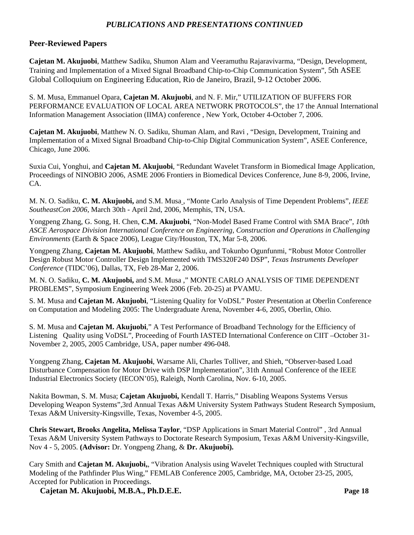## **Peer-Reviewed Papers**

**Cajetan M. Akujuobi**, Matthew Sadiku, Shumon Alam and Veeramuthu Rajaravivarma, "Design, Development, Training and Implementation of a Mixed Signal Broadband Chip-to-Chip Communication System", 5th ASEE Global Colloquium on Engineering Education, Rio de Janeiro, Brazil, 9-12 October 2006.

S. M. Musa, Emmanuel Opara, **Cajetan M. Akujuobi**, and N. F. Mir," UTILIZATION OF BUFFERS FOR PERFORMANCE EVALUATION OF LOCAL AREA NETWORK PROTOCOLS", the 17 the Annual International Information Management Association (IIMA) conference , New York, October 4-October 7, 2006.

**Cajetan M. Akujuobi**, Matthew N. O. Sadiku, Shuman Alam, and Ravi , "Design, Development, Training and Implementation of a Mixed Signal Broadband Chip-to-Chip Digital Communication System", ASEE Conference, Chicago, June 2006.

Suxia Cui, Yonghui, and **Cajetan M. Akujuobi**, "Redundant Wavelet Transform in Biomedical Image Application, Proceedings of NINOBIO 2006, ASME 2006 Frontiers in Biomedical Devices Conference, June 8-9, 2006, Irvine, CA.

M. N. O. Sadiku, **C. M. Akujuobi,** and S.M. Musa , "Monte Carlo Analysis of Time Dependent Problems", *IEEE SoutheastCon 2006*, March 30th - April 2nd, 2006, Memphis, TN, USA.

Yongpeng Zhang, G. Song, H. Chen, **C.M. Akujuobi**, "Non-Model Based Frame Control with SMA Brace", *10th ASCE Aerospace Division International Conference on Engineering, Construction and Operations in Challenging Environments* (Earth & Space 2006), League City/Houston, TX, Mar 5-8, 2006.

Yongpeng Zhang, **Cajetan M. Akujuobi**, Matthew Sadiku, and Tokunbo Ogunfunmi, "Robust Motor Controller Design Robust Motor Controller Design Implemented with TMS320F240 DSP", *Texas Instruments Developer Conference* (TIDC'06), Dallas, TX, Feb 28-Mar 2, 2006.

M. N. O. Sadiku, **C. M. Akujuobi,** and S.M. Musa ," MONTE CARLO ANALYSIS OF TIME DEPENDENT PROBLEMS", Symposium Engineering Week 2006 (Feb. 20-25) at PVAMU.

S. M. Musa and **Cajetan M. Akujuobi**, "Listening Quality for VoDSL" Poster Presentation at Oberlin Conference on Computation and Modeling 2005: The Undergraduate Arena, November 4-6, 2005, Oberlin, Ohio.

S. M. Musa and **Cajetan M. Akujuobi**," A Test Performance of Broadband Technology for the Efficiency of Listening Quality using VoDSL", Proceeding of Fourth IASTED International Conference on CIIT –October 31- November 2, 2005, 2005 Cambridge, USA, paper number 496-048.

Yongpeng Zhang, **Cajetan M. Akujuobi**, Warsame Ali, Charles Tolliver, and Shieh, "Observer-based Load Disturbance Compensation for Motor Drive with DSP Implementation", 31th Annual Conference of the IEEE Industrial Electronics Society (IECON'05), Raleigh, North Carolina, Nov. 6-10, 2005.

Nakita Bowman, S. M. Musa; **Cajetan Akujuobi,** Kendall T. Harris," Disabling Weapons Systems Versus Developing Weapon Systems",3rd Annual Texas A&M University System Pathways Student Research Symposium, Texas A&M University-Kingsville, Texas, November 4-5, 2005.

**Chris Stewart, Brooks Angelita, Melissa Taylor**, "DSP Applications in Smart Material Control" , 3rd Annual Texas A&M University System Pathways to Doctorate Research Symposium, Texas A&M University-Kingsville, Nov 4 - 5, 2005. **(Advisor:** Dr. Yongpeng Zhang, & **Dr. Akujuobi).** 

Cary Smith and **Cajetan M. Akujuobi,**, "Vibration Analysis using Wavelet Techniques coupled with Structural Modeling of the Pathfinder Plus Wing," FEMLAB Conference 2005, Cambridge, MA, October 23-25, 2005, Accepted for Publication in Proceedings.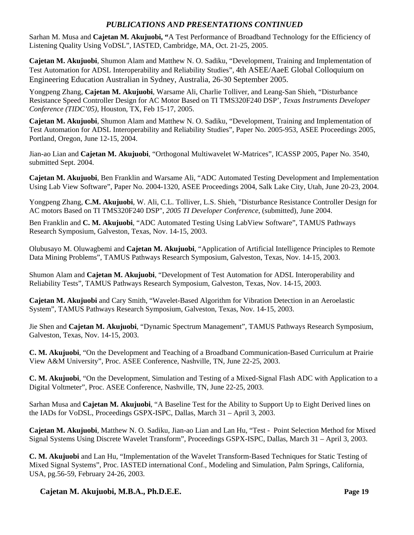Sarhan M. Musa and **Cajetan M. Akujuobi, "**A Test Performance of Broadband Technology for the Efficiency of Listening Quality Using VoDSL", IASTED, Cambridge, MA, Oct. 21-25, 2005.

**Cajetan M. Akujuobi**, Shumon Alam and Matthew N. O. Sadiku, "Development, Training and Implementation of Test Automation for ADSL Interoperability and Reliability Studies", 4th ASEE/AaeE Global Colloquium on Engineering Education Australian in Sydney, Australia, 26-30 September 2005.

Yongpeng Zhang, **Cajetan M. Akujuobi**, Warsame Ali, Charlie Tolliver, and Leang-San Shieh, "Disturbance Resistance Speed Controller Design for AC Motor Based on TI TMS320F240 DSP', *Texas Instruments Developer Conference (TIDC'05)*, Houston, TX, Feb 15-17, 2005.

**Cajetan M. Akujuobi**, Shumon Alam and Matthew N. O. Sadiku, "Development, Training and Implementation of Test Automation for ADSL Interoperability and Reliability Studies", Paper No. 2005-953, ASEE Proceedings 2005, Portland, Oregon, June 12-15, 2004.

Jian-ao Lian and **Cajetan M. Akujuobi**, "Orthogonal Multiwavelet W-Matrices", ICASSP 2005, Paper No. 3540, submitted Sept. 2004.

**Cajetan M. Akujuobi**, Ben Franklin and Warsame Ali, "ADC Automated Testing Development and Implementation Using Lab View Software", Paper No. 2004-1320, ASEE Proceedings 2004, Salk Lake City, Utah, June 20-23, 2004.

Yongpeng Zhang, **C.M. Akujuobi**, W. Ali, C.L. Tolliver, L.S. Shieh, "Disturbance Resistance Controller Design for AC motors Based on TI TMS320F240 DSP", *2005 TI Developer Conference*, (submitted), June 2004.

Ben Franklin and **C. M. Akujuobi**, "ADC Automated Testing Using LabView Software", TAMUS Pathways Research Symposium, Galveston, Texas, Nov. 14-15, 2003.

Olubusayo M. Oluwagbemi and **Cajetan M. Akujuobi**, "Application of Artificial Intelligence Principles to Remote Data Mining Problems", TAMUS Pathways Research Symposium, Galveston, Texas, Nov. 14-15, 2003.

Shumon Alam and **Cajetan M. Akujuobi**, "Development of Test Automation for ADSL Interoperability and Reliability Tests", TAMUS Pathways Research Symposium, Galveston, Texas, Nov. 14-15, 2003.

**Cajetan M. Akujuobi** and Cary Smith, "Wavelet-Based Algorithm for Vibration Detection in an Aeroelastic System", TAMUS Pathways Research Symposium, Galveston, Texas, Nov. 14-15, 2003.

Jie Shen and **Cajetan M. Akujuobi**, "Dynamic Spectrum Management", TAMUS Pathways Research Symposium, Galveston, Texas, Nov. 14-15, 2003.

**C. M. Akujuobi**, "On the Development and Teaching of a Broadband Communication-Based Curriculum at Prairie View A&M University", Proc. ASEE Conference, Nashville, TN, June 22-25, 2003.

**C. M. Akujuobi**, "On the Development, Simulation and Testing of a Mixed-Signal Flash ADC with Application to a Digital Voltmeter", Proc. ASEE Conference, Nashville, TN, June 22-25, 2003.

Sarhan Musa and **Cajetan M. Akujuobi**, "A Baseline Test for the Ability to Support Up to Eight Derived lines on the IADs for VoDSL, Proceedings GSPX-ISPC, Dallas, March 31 – April 3, 2003.

**Cajetan M. Akujuobi**, Matthew N. O. Sadiku, Jian-ao Lian and Lan Hu, "Test - Point Selection Method for Mixed Signal Systems Using Discrete Wavelet Transform", Proceedings GSPX-ISPC, Dallas, March 31 – April 3, 2003.

**C. M. Akujuobi** and Lan Hu, "Implementation of the Wavelet Transform-Based Techniques for Static Testing of Mixed Signal Systems", Proc. IASTED international Conf., Modeling and Simulation, Palm Springs, California, USA, pg.56-59, February 24-26, 2003.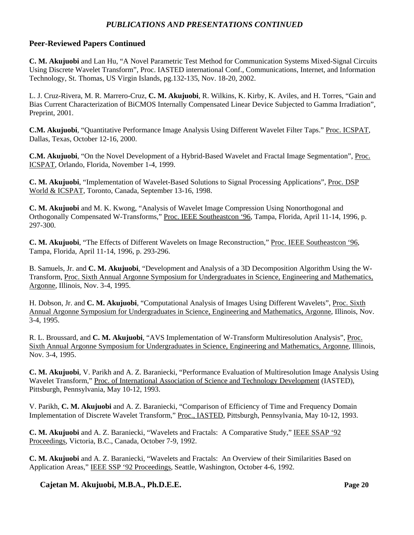## **Peer-Reviewed Papers Continued**

**C. M. Akujuobi** and Lan Hu, "A Novel Parametric Test Method for Communication Systems Mixed-Signal Circuits Using Discrete Wavelet Transform", Proc. IASTED international Conf., Communications, Internet, and Information Technology, St. Thomas, US Virgin Islands, pg.132-135, Nov. 18-20, 2002.

L. J. Cruz-Rivera, M. R. Marrero-Cruz, **C. M. Akujuobi**, R. Wilkins, K. Kirby, K. Aviles, and H. Torres, "Gain and Bias Current Characterization of BiCMOS Internally Compensated Linear Device Subjected to Gamma Irradiation", Preprint, 2001.

**C.M. Akujuobi**, "Quantitative Performance Image Analysis Using Different Wavelet Filter Taps." Proc. ICSPAT, Dallas, Texas, October 12-16, 2000.

**C.M. Akujuobi**, "On the Novel Development of a Hybrid-Based Wavelet and Fractal Image Segmentation", Proc. ICSPAT, Orlando, Florida, November 1-4, 1999.

**C. M. Akujuobi**, "Implementation of Wavelet-Based Solutions to Signal Processing Applications", Proc. DSP World & ICSPAT, Toronto, Canada, September 13-16, 1998.

**C. M. Akujuobi** and M. K. Kwong, "Analysis of Wavelet Image Compression Using Nonorthogonal and Orthogonally Compensated W-Transforms," Proc. IEEE Southeastcon '96, Tampa, Florida, April 11-14, 1996, p. 297-300.

**C. M. Akujuobi**, "The Effects of Different Wavelets on Image Reconstruction," Proc. IEEE Southeastcon '96, Tampa, Florida, April 11-14, 1996, p. 293-296.

B. Samuels, Jr. and **C. M. Akujuobi**, "Development and Analysis of a 3D Decomposition Algorithm Using the W-Transform, Proc. Sixth Annual Argonne Symposium for Undergraduates in Science, Engineering and Mathematics, Argonne, Illinois, Nov. 3-4, 1995.

H. Dobson, Jr. and **C. M. Akujuobi**, "Computational Analysis of Images Using Different Wavelets", Proc. Sixth Annual Argonne Symposium for Undergraduates in Science, Engineering and Mathematics, Argonne, Illinois, Nov. 3-4, 1995.

R. L. Broussard, and **C. M. Akujuobi**, "AVS Implementation of W-Transform Multiresolution Analysis", Proc. Sixth Annual Argonne Symposium for Undergraduates in Science, Engineering and Mathematics, Argonne, Illinois, Nov. 3-4, 1995.

**C. M. Akujuobi**, V. Parikh and A. Z. Baraniecki, "Performance Evaluation of Multiresolution Image Analysis Using Wavelet Transform," Proc. of International Association of Science and Technology Development (IASTED), Pittsburgh, Pennsylvania, May 10-12, 1993.

V. Parikh, **C. M. Akujuobi** and A. Z. Baraniecki, "Comparison of Efficiency of Time and Frequency Domain Implementation of Discrete Wavelet Transform," Proc., IASTED, Pittsburgh, Pennsylvania, May 10-12, 1993.

**C. M. Akujuobi** and A. Z. Baraniecki, "Wavelets and Fractals: A Comparative Study," IEEE SSAP '92 Proceedings, Victoria, B.C., Canada, October 7-9, 1992.

**C. M. Akujuobi** and A. Z. Baraniecki, "Wavelets and Fractals: An Overview of their Similarities Based on Application Areas," IEEE SSP '92 Proceedings, Seattle, Washington, October 4-6, 1992.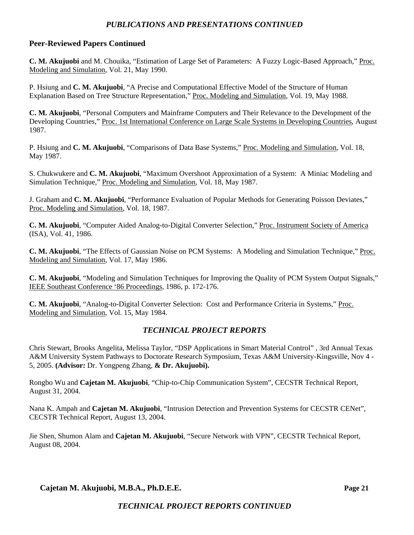## **Peer-Reviewed Papers Continued**

**C. M. Akujuobi** and M. Chouika, "Estimation of Large Set of Parameters: A Fuzzy Logic-Based Approach," Proc. Modeling and Simulation, Vol. 21, May 1990.

P. Hsiung and **C. M. Akujuobi**, "A Precise and Computational Effective Model of the Structure of Human Explanation Based on Tree Structure Representation," Proc. Modeling and Simulation, Vol. 19, May 1988.

**C. M. Akujuobi**, "Personal Computers and Mainframe Computers and Their Relevance to the Development of the Developing Countries," Proc. 1st International Conference on Large Scale Systems in Developing Countries, August 1987.

P. Hsiung and **C. M. Akujuobi**, "Comparisons of Data Base Systems," Proc. Modeling and Simulation, Vol. 18, May 1987.

S. Chukwukere and **C. M. Akujuobi**, "Maximum Overshoot Approximation of a System: A Miniac Modeling and Simulation Technique," Proc. Modeling and Simulation, Vol. 18, May 1987.

J. Graham and **C. M. Akujuobi**, "Performance Evaluation of Popular Methods for Generating Poisson Deviates," Proc. Modeling and Simulation, Vol. 18, 1987.

**C. M. Akujuobi**, "Computer Aided Analog-to-Digital Converter Selection," Proc. Instrument Society of America (ISA), Vol. 41, 1986.

**C. M. Akujuobi**, "The Effects of Gaussian Noise on PCM Systems: A Modeling and Simulation Technique," Proc. Modeling and Simulation, Vol. 17, May 1986.

**C. M. Akujuobi**, "Modeling and Simulation Techniques for Improving the Quality of PCM System Output Signals," IEEE Southeast Conference '86 Proceedings, 1986, p. 172-176.

**C. M. Akujuobi**, "Analog-to-Digital Converter Selection: Cost and Performance Criteria in Systems," Proc. Modeling and Simulation, Vol. 15, May 1984.

## *TECHNICAL PROJECT REPORTS*

Chris Stewart, Brooks Angelita, Melissa Taylor, "DSP Applications in Smart Material Control" , 3rd Annual Texas A&M University System Pathways to Doctorate Research Symposium, Texas A&M University-Kingsville, Nov 4 - 5, 2005. **(Advisor:** Dr. Yongpeng Zhang, **& Dr. Akujuobi).** 

Rongbo Wu and **Cajetan M. Akujuobi**, "Chip-to-Chip Communication System", CECSTR Technical Report, August 31, 2004.

Nana K. Ampah and **Cajetan M. Akujuobi**, "Intrusion Detection and Prevention Systems for CECSTR CENet", CECSTR Technical Report, August 13, 2004.

Jie Shen, Shumon Alam and **Cajetan M. Akujuobi**, "Secure Network with VPN", CECSTR Technical Report, August 08, 2004.

**Cajetan M. Akujuobi, M.B.A., Ph.D.E.E. Page 21**

*TECHNICAL PROJECT REPORTS CONTINUED*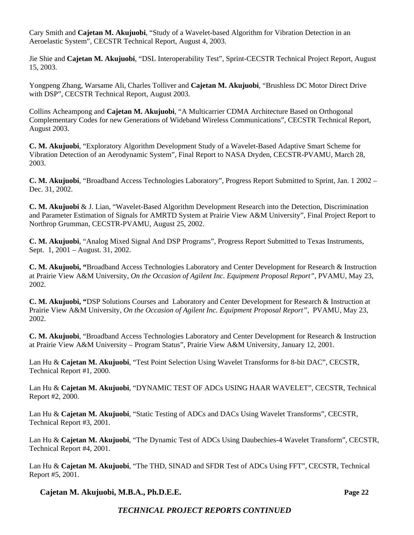Cary Smith and **Cajetan M. Akujuobi**, "Study of a Wavelet-based Algorithm for Vibration Detection in an Aeroelastic System", CECSTR Technical Report, August 4, 2003.

Jie Shie and **Cajetan M. Akujuobi**, "DSL Interoperability Test", Sprint-CECSTR Technical Project Report, August 15, 2003.

Yongpeng Zhang, Warsame Ali, Charles Tolliver and **Cajetan M. Akujuobi**, "Brushless DC Motor Direct Drive with DSP", CECSTR Technical Report, August 2003.

Collins Acheampong and **Cajetan M. Akujuobi**, "A Multicarrier CDMA Architecture Based on Orthogonal Complementary Codes for new Generations of Wideband Wireless Communications", CECSTR Technical Report, August 2003.

**C. M. Akujuobi**, "Exploratory Algorithm Development Study of a Wavelet-Based Adaptive Smart Scheme for Vibration Detection of an Aerodynamic System", Final Report to NASA Dryden, CECSTR-PVAMU, March 28, 2003.

**C. M. Akujuobi**, "Broadband Access Technologies Laboratory", Progress Report Submitted to Sprint, Jan. 1 2002 – Dec. 31, 2002.

**C. M. Akujuobi** & J. Lian, "Wavelet-Based Algorithm Development Research into the Detection, Discrimination and Parameter Estimation of Signals for AMRTD System at Prairie View A&M University", Final Project Report to Northrop Grumman, CECSTR-PVAMU, August 25, 2002.

**C. M. Akujuobi**, "Analog Mixed Signal And DSP Programs", Progress Report Submitted to Texas Instruments, Sept. 1, 2001 – August. 31, 2002.

**C. M. Akujuobi, "**Broadband Access Technologies Laboratory and Center Development for Research & Instruction at Prairie View A&M University, *On the Occasion of Agilent Inc. Equipment Proposal Report",* PVAMU, May 23, 2002.

**C. M. Akujuobi, "**DSP Solutions Courses and Laboratory and Center Development for Research & Instruction at Prairie View A&M University, *On the Occasion of Agilent Inc. Equipment Proposal Report", PVAMU, May 23,* 2002.

**C. M. Akujuobi**, "Broadband Access Technologies Laboratory and Center Development for Research & Instruction at Prairie View A&M University – Program Status", Prairie View A&M University, January 12, 2001.

Lan Hu & **Cajetan M. Akujuobi**, "Test Point Selection Using Wavelet Transforms for 8-bit DAC", CECSTR, Technical Report #1, 2000.

Lan Hu & **Cajetan M. Akujuobi**, "DYNAMIC TEST OF ADCs USING HAAR WAVELET", CECSTR, Technical Report #2, 2000.

Lan Hu & **Cajetan M. Akujuobi**, "Static Testing of ADCs and DACs Using Wavelet Transforms", CECSTR, Technical Report #3, 2001.

Lan Hu & **Cajetan M. Akujuobi**, "The Dynamic Test of ADCs Using Daubechies-4 Wavelet Transform", CECSTR, Technical Report #4, 2001.

Lan Hu & **Cajetan M. Akujuobi**, "The THD, SINAD and SFDR Test of ADCs Using FFT", CECSTR, Technical Report #5, 2001.

**Cajetan M. Akujuobi, M.B.A., Ph.D.E.E. Page 22**

## *TECHNICAL PROJECT REPORTS CONTINUED*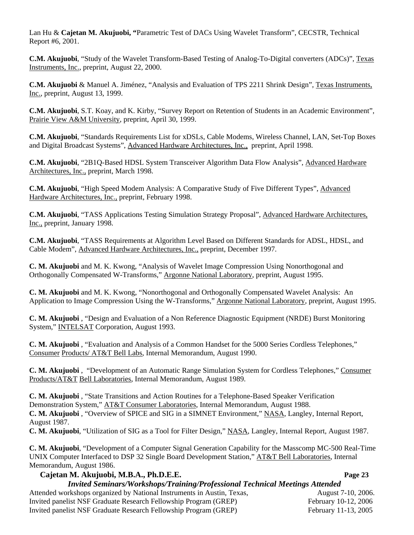Lan Hu & **Cajetan M. Akujuobi, "**Parametric Test of DACs Using Wavelet Transform", CECSTR, Technical Report #6, 2001.

**C.M. Akujuobi**, "Study of the Wavelet Transform-Based Testing of Analog-To-Digital converters (ADCs)", Texas Instruments, Inc., preprint, August 22, 2000.

**C.M. Akujuobi** & Manuel A. Jiménez, "Analysis and Evaluation of TPS 2211 Shrink Design", Texas Instruments, Inc., preprint, August 13, 1999.

**C.M. Akujuobi**, S.T. Koay, and K. Kirby, "Survey Report on Retention of Students in an Academic Environment", Prairie View A&M University, preprint, April 30, 1999.

**C.M. Akujuobi**, "Standards Requirements List for xDSLs, Cable Modems, Wireless Channel, LAN, Set-Top Boxes and Digital Broadcast Systems", Advanced Hardware Architectures, Inc., preprint, April 1998.

**C.M. Akujuobi**, "2B1Q-Based HDSL System Transceiver Algorithm Data Flow Analysis", Advanced Hardware Architectures, Inc., preprint, March 1998.

**C.M. Akujuobi**, "High Speed Modem Analysis: A Comparative Study of Five Different Types", Advanced Hardware Architectures, Inc., preprint, February 1998.

**C.M. Akujuobi**, "TASS Applications Testing Simulation Strategy Proposal", Advanced Hardware Architectures, Inc., preprint, January 1998.

**C.M. Akujuobi**, "TASS Requirements at Algorithm Level Based on Different Standards for ADSL, HDSL, and Cable Modem", Advanced Hardware Architectures, Inc., preprint, December 1997.

**C. M. Akujuobi** and M. K. Kwong, "Analysis of Wavelet Image Compression Using Nonorthogonal and Orthogonally Compensated W-Transforms," Argonne National Laboratory, preprint, August 1995.

**C. M. Akujuobi** and M. K. Kwong, "Nonorthogonal and Orthogonally Compensated Wavelet Analysis: An Application to Image Compression Using the W-Transforms," Argonne National Laboratory, preprint, August 1995.

**C. M. Akujuobi** , "Design and Evaluation of a Non Reference Diagnostic Equipment (NRDE) Burst Monitoring System," INTELSAT Corporation, August 1993.

**C. M. Akujuobi** , "Evaluation and Analysis of a Common Handset for the 5000 Series Cordless Telephones," Consumer Products/ AT&T Bell Labs, Internal Memorandum, August 1990.

**C. M. Akujuobi** , "Development of an Automatic Range Simulation System for Cordless Telephones," Consumer Products/AT&T Bell Laboratories, Internal Memorandum, August 1989.

**C. M. Akujuobi** , "State Transitions and Action Routines for a Telephone-Based Speaker Verification Demonstration System," AT&T Consumer Laboratories, Internal Memorandum, August 1988. **C. M. Akujuobi** , "Overview of SPICE and SIG in a SIMNET Environment," NASA, Langley, Internal Report, August 1987.

**C. M. Akujuobi**, "Utilization of SIG as a Tool for Filter Design," NASA, Langley, Internal Report, August 1987.

**C. M. Akujuobi**, "Development of a Computer Signal Generation Capability for the Masscomp MC-500 Real-Time UNIX Computer Interfaced to DSP 32 Single Board Development Station," AT&T Bell Laboratories, Internal Memorandum, August 1986.

## Cajetan M. Akujuobi, M.B.A., Ph.D.E.E. **Page 23** Page 23

## *Invited Seminars/Workshops/Training/Professional Technical Meetings Attended*

Attended workshops organized by National Instruments in Austin, Texas, August 7-10, 2006. Invited panelist NSF Graduate Research Fellowship Program (GREP) February 10-12, 2006 Invited panelist NSF Graduate Research Fellowship Program (GREP) February 11-13, 2005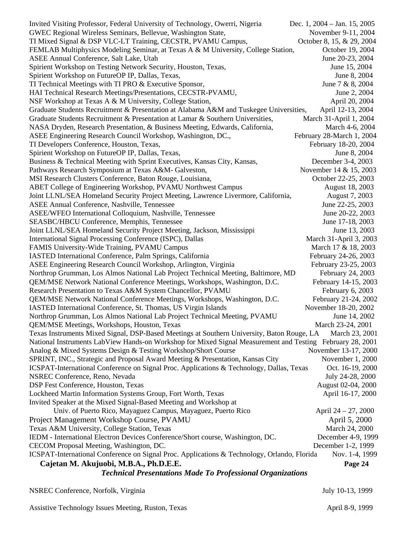| GWEC Regional Wireless Seminars, Bellevue, Washington State,<br>November 9-11, 2004<br>TI Mixed Signal & DSP VLC-LT Training, CECSTR, PVAMU Campus,<br>October 8, 15, & 29, 2004<br>FEMLAB Multiphysics Modeling Seminar, at Texas A & M University, College Station,<br>October 19, 2004<br>ASEE Annual Conference, Salt Lake, Utah<br>June 20-23, 2004<br>Spirient Workshop on Testing Network Security, Houston, Texas,<br>June 15, 2004<br>Spirient Workshop on FutureOP IP, Dallas, Texas,<br>June 8, 2004<br>TI Technical Meetings with TI PRO & Executive Sponsor,<br>June 7 & 8, 2004<br>HAI Technical Research Meetings/Presentations, CECSTR-PVAMU,<br>June 2, 2004<br>NSF Workshop at Texas A & M University, College Station,<br>April 20, 2004<br>Graduate Students Recruitment & Presentation at Alabama A&M and Tuskegee Universities,<br>April 12-13, 2004<br>Graduate Students Recruitment & Presentation at Lamar & Southern Universities,<br>March 31-April 1, 2004<br>NASA Dryden, Research Presentation, & Business Meeting, Edwards, California,<br>March 4-6, 2004<br>ASEE Engineering Research Council Workshop, Washington, DC.,<br>February 28-March 1, 2004<br>TI Developers Conference, Houston, Texas,<br>February 18-20, 2004<br>Spirient Workshop on FutureOP IP, Dallas, Texas,<br>June 8, 2004<br>Business & Technical Meeting with Sprint Executives, Kansas City, Kansas,<br>December 3-4, 2003<br>Pathways Research Symposium at Texas A&M- Galveston,<br>November 14 & 15, 2003<br>MSI Research Clusters Conference, Baton Rouge, Louisiana,<br>October 22-25, 2003<br>ABET College of Engineering Workshop, PVAMU Northwest Campus<br>August 18, 2003<br>Joint LLNL/SEA Homeland Security Project Meeting, Lawrence Livermore, California,<br>August 7, 2003<br>ASEE Annual Conference, Nashville, Tennessee<br>June 22-25, 2003<br>ASEE/WFEO International Colloquium, Nashville, Tennessee<br>June 20-22, 2003<br>SEASBC/HBCU Conference, Memphis, Tennessee<br>June 17-18, 2003<br>Joint LLNL/SEA Homeland Security Project Meeting, Jackson, Mississippi<br>June 13, 2003<br>March 31-April 3, 2003<br>International Signal Processing Conference (ISPC), Dallas<br>FAMIS University-Wide Training, PVAMU Campus<br>March 17 & 18, 2003<br>IASTED International Conference, Palm Springs, California<br>February 24-26, 2003<br>ASEE Engineering Research Council Workshop, Arlington, Virginia<br>February 23-25, 2003<br>Northrop Grumman, Los Almos National Lab Project Technical Meeting, Baltimore, MD<br>February 24, 2003<br>QEM/MSE Network National Conference Meetings, Workshops, Washington, D.C.<br>February 14-15, 2003<br>Research Presentation to Texas A&M System Chancellor, PVAMU<br>February 6, 2003<br>QEM/MSE Network National Conference Meetings, Workshops, Washington, D.C.<br>February 21-24, 2002<br>November 18-20, 2002<br>June 14, 2002<br>March 23-24, 2001<br>Texas Instruments Mixed Signal, DSP-Based Meetings at Southern University, Baton Rouge, LA<br>March 23, 2001<br>National Instruments LabView Hands-on Workshop for Mixed Signal Measurement and Testing February 28, 2001<br>Analog & Mixed Systems Design & Testing Workshop/Short Course<br>November 13-17, 2000<br>SPRINT, INC., Strategic and Proposal Award Meeting & Presentation, Kansas City<br>November 1, 2000<br>ICSPAT-International Conference on Signal Proc. Applications & Technology, Dallas, Texas<br>Oct. 16-19, 2000<br>NSREC Conference, Reno, Nevada<br>July 24-28, 2000<br>DSP Fest Conference, Houston, Texas<br>August 02-04, 2000<br>Lockheed Martin Information Systems Group, Fort Worth, Texas<br>April 16-17, 2000<br>Invited Speaker at the Mixed Signal-Based Meeting and Workshop at<br>Univ. of Puerto Rico, Mayaguez Campus, Mayaguez, Puerto Rico<br>April $24 - 27$ , 2000<br>Project Management Workshop Course, PVAMU<br>April 5, 2000<br>Texas A&M University, College Station, Texas<br>March 24, 2000<br>IEDM - International Electron Devices Conference/Short course, Washington, DC.<br>December 4-9, 1999<br>CECOM Proposal Meeting, Washington, DC.<br>December 1-2, 1999<br>ICSPAT-International Conference on Signal Proc. Applications & Technology, Orlando, Florida<br>Nov. 1-4, 1999<br>Cajetan M. Akujuobi, M.B.A., Ph.D.E.E.<br>Page 24<br><b>Technical Presentations Made To Professional Organizations</b> | Invited Visiting Professor, Federal University of Technology, Owerri, Nigeria | Dec. 1, $2004 - Jan. 15$ , $2005$ |
|---------------------------------------------------------------------------------------------------------------------------------------------------------------------------------------------------------------------------------------------------------------------------------------------------------------------------------------------------------------------------------------------------------------------------------------------------------------------------------------------------------------------------------------------------------------------------------------------------------------------------------------------------------------------------------------------------------------------------------------------------------------------------------------------------------------------------------------------------------------------------------------------------------------------------------------------------------------------------------------------------------------------------------------------------------------------------------------------------------------------------------------------------------------------------------------------------------------------------------------------------------------------------------------------------------------------------------------------------------------------------------------------------------------------------------------------------------------------------------------------------------------------------------------------------------------------------------------------------------------------------------------------------------------------------------------------------------------------------------------------------------------------------------------------------------------------------------------------------------------------------------------------------------------------------------------------------------------------------------------------------------------------------------------------------------------------------------------------------------------------------------------------------------------------------------------------------------------------------------------------------------------------------------------------------------------------------------------------------------------------------------------------------------------------------------------------------------------------------------------------------------------------------------------------------------------------------------------------------------------------------------------------------------------------------------------------------------------------------------------------------------------------------------------------------------------------------------------------------------------------------------------------------------------------------------------------------------------------------------------------------------------------------------------------------------------------------------------------------------------------------------------------------------------------------------------------------------------------------------------------------------------------------------------------------------------------------------------------------------------------------------------------------------------------------------------------------------------------------------------------------------------------------------------------------------------------------------------------------------------------------------------------------------------------------------------------------------------------------------------------------------------------------------------------------------------------------------------------------------------------------------------------------------------------------------------------------------------------------------------------------------------------------------------------------------------------------------------------------------------------------------------------------------------------------------------------------------------------------------------------------------------------------------------------------------------------------------------------------------------------------------------------------------------|-------------------------------------------------------------------------------|-----------------------------------|
|                                                                                                                                                                                                                                                                                                                                                                                                                                                                                                                                                                                                                                                                                                                                                                                                                                                                                                                                                                                                                                                                                                                                                                                                                                                                                                                                                                                                                                                                                                                                                                                                                                                                                                                                                                                                                                                                                                                                                                                                                                                                                                                                                                                                                                                                                                                                                                                                                                                                                                                                                                                                                                                                                                                                                                                                                                                                                                                                                                                                                                                                                                                                                                                                                                                                                                                                                                                                                                                                                                                                                                                                                                                                                                                                                                                                                                                                                                                                                                                                                                                                                                                                                                                                                                                                                                                                                                                                               |                                                                               |                                   |
|                                                                                                                                                                                                                                                                                                                                                                                                                                                                                                                                                                                                                                                                                                                                                                                                                                                                                                                                                                                                                                                                                                                                                                                                                                                                                                                                                                                                                                                                                                                                                                                                                                                                                                                                                                                                                                                                                                                                                                                                                                                                                                                                                                                                                                                                                                                                                                                                                                                                                                                                                                                                                                                                                                                                                                                                                                                                                                                                                                                                                                                                                                                                                                                                                                                                                                                                                                                                                                                                                                                                                                                                                                                                                                                                                                                                                                                                                                                                                                                                                                                                                                                                                                                                                                                                                                                                                                                                               |                                                                               |                                   |
|                                                                                                                                                                                                                                                                                                                                                                                                                                                                                                                                                                                                                                                                                                                                                                                                                                                                                                                                                                                                                                                                                                                                                                                                                                                                                                                                                                                                                                                                                                                                                                                                                                                                                                                                                                                                                                                                                                                                                                                                                                                                                                                                                                                                                                                                                                                                                                                                                                                                                                                                                                                                                                                                                                                                                                                                                                                                                                                                                                                                                                                                                                                                                                                                                                                                                                                                                                                                                                                                                                                                                                                                                                                                                                                                                                                                                                                                                                                                                                                                                                                                                                                                                                                                                                                                                                                                                                                                               |                                                                               |                                   |
|                                                                                                                                                                                                                                                                                                                                                                                                                                                                                                                                                                                                                                                                                                                                                                                                                                                                                                                                                                                                                                                                                                                                                                                                                                                                                                                                                                                                                                                                                                                                                                                                                                                                                                                                                                                                                                                                                                                                                                                                                                                                                                                                                                                                                                                                                                                                                                                                                                                                                                                                                                                                                                                                                                                                                                                                                                                                                                                                                                                                                                                                                                                                                                                                                                                                                                                                                                                                                                                                                                                                                                                                                                                                                                                                                                                                                                                                                                                                                                                                                                                                                                                                                                                                                                                                                                                                                                                                               |                                                                               |                                   |
|                                                                                                                                                                                                                                                                                                                                                                                                                                                                                                                                                                                                                                                                                                                                                                                                                                                                                                                                                                                                                                                                                                                                                                                                                                                                                                                                                                                                                                                                                                                                                                                                                                                                                                                                                                                                                                                                                                                                                                                                                                                                                                                                                                                                                                                                                                                                                                                                                                                                                                                                                                                                                                                                                                                                                                                                                                                                                                                                                                                                                                                                                                                                                                                                                                                                                                                                                                                                                                                                                                                                                                                                                                                                                                                                                                                                                                                                                                                                                                                                                                                                                                                                                                                                                                                                                                                                                                                                               |                                                                               |                                   |
|                                                                                                                                                                                                                                                                                                                                                                                                                                                                                                                                                                                                                                                                                                                                                                                                                                                                                                                                                                                                                                                                                                                                                                                                                                                                                                                                                                                                                                                                                                                                                                                                                                                                                                                                                                                                                                                                                                                                                                                                                                                                                                                                                                                                                                                                                                                                                                                                                                                                                                                                                                                                                                                                                                                                                                                                                                                                                                                                                                                                                                                                                                                                                                                                                                                                                                                                                                                                                                                                                                                                                                                                                                                                                                                                                                                                                                                                                                                                                                                                                                                                                                                                                                                                                                                                                                                                                                                                               |                                                                               |                                   |
|                                                                                                                                                                                                                                                                                                                                                                                                                                                                                                                                                                                                                                                                                                                                                                                                                                                                                                                                                                                                                                                                                                                                                                                                                                                                                                                                                                                                                                                                                                                                                                                                                                                                                                                                                                                                                                                                                                                                                                                                                                                                                                                                                                                                                                                                                                                                                                                                                                                                                                                                                                                                                                                                                                                                                                                                                                                                                                                                                                                                                                                                                                                                                                                                                                                                                                                                                                                                                                                                                                                                                                                                                                                                                                                                                                                                                                                                                                                                                                                                                                                                                                                                                                                                                                                                                                                                                                                                               |                                                                               |                                   |
|                                                                                                                                                                                                                                                                                                                                                                                                                                                                                                                                                                                                                                                                                                                                                                                                                                                                                                                                                                                                                                                                                                                                                                                                                                                                                                                                                                                                                                                                                                                                                                                                                                                                                                                                                                                                                                                                                                                                                                                                                                                                                                                                                                                                                                                                                                                                                                                                                                                                                                                                                                                                                                                                                                                                                                                                                                                                                                                                                                                                                                                                                                                                                                                                                                                                                                                                                                                                                                                                                                                                                                                                                                                                                                                                                                                                                                                                                                                                                                                                                                                                                                                                                                                                                                                                                                                                                                                                               |                                                                               |                                   |
|                                                                                                                                                                                                                                                                                                                                                                                                                                                                                                                                                                                                                                                                                                                                                                                                                                                                                                                                                                                                                                                                                                                                                                                                                                                                                                                                                                                                                                                                                                                                                                                                                                                                                                                                                                                                                                                                                                                                                                                                                                                                                                                                                                                                                                                                                                                                                                                                                                                                                                                                                                                                                                                                                                                                                                                                                                                                                                                                                                                                                                                                                                                                                                                                                                                                                                                                                                                                                                                                                                                                                                                                                                                                                                                                                                                                                                                                                                                                                                                                                                                                                                                                                                                                                                                                                                                                                                                                               |                                                                               |                                   |
|                                                                                                                                                                                                                                                                                                                                                                                                                                                                                                                                                                                                                                                                                                                                                                                                                                                                                                                                                                                                                                                                                                                                                                                                                                                                                                                                                                                                                                                                                                                                                                                                                                                                                                                                                                                                                                                                                                                                                                                                                                                                                                                                                                                                                                                                                                                                                                                                                                                                                                                                                                                                                                                                                                                                                                                                                                                                                                                                                                                                                                                                                                                                                                                                                                                                                                                                                                                                                                                                                                                                                                                                                                                                                                                                                                                                                                                                                                                                                                                                                                                                                                                                                                                                                                                                                                                                                                                                               |                                                                               |                                   |
|                                                                                                                                                                                                                                                                                                                                                                                                                                                                                                                                                                                                                                                                                                                                                                                                                                                                                                                                                                                                                                                                                                                                                                                                                                                                                                                                                                                                                                                                                                                                                                                                                                                                                                                                                                                                                                                                                                                                                                                                                                                                                                                                                                                                                                                                                                                                                                                                                                                                                                                                                                                                                                                                                                                                                                                                                                                                                                                                                                                                                                                                                                                                                                                                                                                                                                                                                                                                                                                                                                                                                                                                                                                                                                                                                                                                                                                                                                                                                                                                                                                                                                                                                                                                                                                                                                                                                                                                               |                                                                               |                                   |
|                                                                                                                                                                                                                                                                                                                                                                                                                                                                                                                                                                                                                                                                                                                                                                                                                                                                                                                                                                                                                                                                                                                                                                                                                                                                                                                                                                                                                                                                                                                                                                                                                                                                                                                                                                                                                                                                                                                                                                                                                                                                                                                                                                                                                                                                                                                                                                                                                                                                                                                                                                                                                                                                                                                                                                                                                                                                                                                                                                                                                                                                                                                                                                                                                                                                                                                                                                                                                                                                                                                                                                                                                                                                                                                                                                                                                                                                                                                                                                                                                                                                                                                                                                                                                                                                                                                                                                                                               |                                                                               |                                   |
|                                                                                                                                                                                                                                                                                                                                                                                                                                                                                                                                                                                                                                                                                                                                                                                                                                                                                                                                                                                                                                                                                                                                                                                                                                                                                                                                                                                                                                                                                                                                                                                                                                                                                                                                                                                                                                                                                                                                                                                                                                                                                                                                                                                                                                                                                                                                                                                                                                                                                                                                                                                                                                                                                                                                                                                                                                                                                                                                                                                                                                                                                                                                                                                                                                                                                                                                                                                                                                                                                                                                                                                                                                                                                                                                                                                                                                                                                                                                                                                                                                                                                                                                                                                                                                                                                                                                                                                                               |                                                                               |                                   |
|                                                                                                                                                                                                                                                                                                                                                                                                                                                                                                                                                                                                                                                                                                                                                                                                                                                                                                                                                                                                                                                                                                                                                                                                                                                                                                                                                                                                                                                                                                                                                                                                                                                                                                                                                                                                                                                                                                                                                                                                                                                                                                                                                                                                                                                                                                                                                                                                                                                                                                                                                                                                                                                                                                                                                                                                                                                                                                                                                                                                                                                                                                                                                                                                                                                                                                                                                                                                                                                                                                                                                                                                                                                                                                                                                                                                                                                                                                                                                                                                                                                                                                                                                                                                                                                                                                                                                                                                               |                                                                               |                                   |
|                                                                                                                                                                                                                                                                                                                                                                                                                                                                                                                                                                                                                                                                                                                                                                                                                                                                                                                                                                                                                                                                                                                                                                                                                                                                                                                                                                                                                                                                                                                                                                                                                                                                                                                                                                                                                                                                                                                                                                                                                                                                                                                                                                                                                                                                                                                                                                                                                                                                                                                                                                                                                                                                                                                                                                                                                                                                                                                                                                                                                                                                                                                                                                                                                                                                                                                                                                                                                                                                                                                                                                                                                                                                                                                                                                                                                                                                                                                                                                                                                                                                                                                                                                                                                                                                                                                                                                                                               |                                                                               |                                   |
|                                                                                                                                                                                                                                                                                                                                                                                                                                                                                                                                                                                                                                                                                                                                                                                                                                                                                                                                                                                                                                                                                                                                                                                                                                                                                                                                                                                                                                                                                                                                                                                                                                                                                                                                                                                                                                                                                                                                                                                                                                                                                                                                                                                                                                                                                                                                                                                                                                                                                                                                                                                                                                                                                                                                                                                                                                                                                                                                                                                                                                                                                                                                                                                                                                                                                                                                                                                                                                                                                                                                                                                                                                                                                                                                                                                                                                                                                                                                                                                                                                                                                                                                                                                                                                                                                                                                                                                                               |                                                                               |                                   |
|                                                                                                                                                                                                                                                                                                                                                                                                                                                                                                                                                                                                                                                                                                                                                                                                                                                                                                                                                                                                                                                                                                                                                                                                                                                                                                                                                                                                                                                                                                                                                                                                                                                                                                                                                                                                                                                                                                                                                                                                                                                                                                                                                                                                                                                                                                                                                                                                                                                                                                                                                                                                                                                                                                                                                                                                                                                                                                                                                                                                                                                                                                                                                                                                                                                                                                                                                                                                                                                                                                                                                                                                                                                                                                                                                                                                                                                                                                                                                                                                                                                                                                                                                                                                                                                                                                                                                                                                               |                                                                               |                                   |
|                                                                                                                                                                                                                                                                                                                                                                                                                                                                                                                                                                                                                                                                                                                                                                                                                                                                                                                                                                                                                                                                                                                                                                                                                                                                                                                                                                                                                                                                                                                                                                                                                                                                                                                                                                                                                                                                                                                                                                                                                                                                                                                                                                                                                                                                                                                                                                                                                                                                                                                                                                                                                                                                                                                                                                                                                                                                                                                                                                                                                                                                                                                                                                                                                                                                                                                                                                                                                                                                                                                                                                                                                                                                                                                                                                                                                                                                                                                                                                                                                                                                                                                                                                                                                                                                                                                                                                                                               |                                                                               |                                   |
|                                                                                                                                                                                                                                                                                                                                                                                                                                                                                                                                                                                                                                                                                                                                                                                                                                                                                                                                                                                                                                                                                                                                                                                                                                                                                                                                                                                                                                                                                                                                                                                                                                                                                                                                                                                                                                                                                                                                                                                                                                                                                                                                                                                                                                                                                                                                                                                                                                                                                                                                                                                                                                                                                                                                                                                                                                                                                                                                                                                                                                                                                                                                                                                                                                                                                                                                                                                                                                                                                                                                                                                                                                                                                                                                                                                                                                                                                                                                                                                                                                                                                                                                                                                                                                                                                                                                                                                                               |                                                                               |                                   |
|                                                                                                                                                                                                                                                                                                                                                                                                                                                                                                                                                                                                                                                                                                                                                                                                                                                                                                                                                                                                                                                                                                                                                                                                                                                                                                                                                                                                                                                                                                                                                                                                                                                                                                                                                                                                                                                                                                                                                                                                                                                                                                                                                                                                                                                                                                                                                                                                                                                                                                                                                                                                                                                                                                                                                                                                                                                                                                                                                                                                                                                                                                                                                                                                                                                                                                                                                                                                                                                                                                                                                                                                                                                                                                                                                                                                                                                                                                                                                                                                                                                                                                                                                                                                                                                                                                                                                                                                               |                                                                               |                                   |
|                                                                                                                                                                                                                                                                                                                                                                                                                                                                                                                                                                                                                                                                                                                                                                                                                                                                                                                                                                                                                                                                                                                                                                                                                                                                                                                                                                                                                                                                                                                                                                                                                                                                                                                                                                                                                                                                                                                                                                                                                                                                                                                                                                                                                                                                                                                                                                                                                                                                                                                                                                                                                                                                                                                                                                                                                                                                                                                                                                                                                                                                                                                                                                                                                                                                                                                                                                                                                                                                                                                                                                                                                                                                                                                                                                                                                                                                                                                                                                                                                                                                                                                                                                                                                                                                                                                                                                                                               |                                                                               |                                   |
|                                                                                                                                                                                                                                                                                                                                                                                                                                                                                                                                                                                                                                                                                                                                                                                                                                                                                                                                                                                                                                                                                                                                                                                                                                                                                                                                                                                                                                                                                                                                                                                                                                                                                                                                                                                                                                                                                                                                                                                                                                                                                                                                                                                                                                                                                                                                                                                                                                                                                                                                                                                                                                                                                                                                                                                                                                                                                                                                                                                                                                                                                                                                                                                                                                                                                                                                                                                                                                                                                                                                                                                                                                                                                                                                                                                                                                                                                                                                                                                                                                                                                                                                                                                                                                                                                                                                                                                                               |                                                                               |                                   |
|                                                                                                                                                                                                                                                                                                                                                                                                                                                                                                                                                                                                                                                                                                                                                                                                                                                                                                                                                                                                                                                                                                                                                                                                                                                                                                                                                                                                                                                                                                                                                                                                                                                                                                                                                                                                                                                                                                                                                                                                                                                                                                                                                                                                                                                                                                                                                                                                                                                                                                                                                                                                                                                                                                                                                                                                                                                                                                                                                                                                                                                                                                                                                                                                                                                                                                                                                                                                                                                                                                                                                                                                                                                                                                                                                                                                                                                                                                                                                                                                                                                                                                                                                                                                                                                                                                                                                                                                               |                                                                               |                                   |
|                                                                                                                                                                                                                                                                                                                                                                                                                                                                                                                                                                                                                                                                                                                                                                                                                                                                                                                                                                                                                                                                                                                                                                                                                                                                                                                                                                                                                                                                                                                                                                                                                                                                                                                                                                                                                                                                                                                                                                                                                                                                                                                                                                                                                                                                                                                                                                                                                                                                                                                                                                                                                                                                                                                                                                                                                                                                                                                                                                                                                                                                                                                                                                                                                                                                                                                                                                                                                                                                                                                                                                                                                                                                                                                                                                                                                                                                                                                                                                                                                                                                                                                                                                                                                                                                                                                                                                                                               |                                                                               |                                   |
|                                                                                                                                                                                                                                                                                                                                                                                                                                                                                                                                                                                                                                                                                                                                                                                                                                                                                                                                                                                                                                                                                                                                                                                                                                                                                                                                                                                                                                                                                                                                                                                                                                                                                                                                                                                                                                                                                                                                                                                                                                                                                                                                                                                                                                                                                                                                                                                                                                                                                                                                                                                                                                                                                                                                                                                                                                                                                                                                                                                                                                                                                                                                                                                                                                                                                                                                                                                                                                                                                                                                                                                                                                                                                                                                                                                                                                                                                                                                                                                                                                                                                                                                                                                                                                                                                                                                                                                                               |                                                                               |                                   |
|                                                                                                                                                                                                                                                                                                                                                                                                                                                                                                                                                                                                                                                                                                                                                                                                                                                                                                                                                                                                                                                                                                                                                                                                                                                                                                                                                                                                                                                                                                                                                                                                                                                                                                                                                                                                                                                                                                                                                                                                                                                                                                                                                                                                                                                                                                                                                                                                                                                                                                                                                                                                                                                                                                                                                                                                                                                                                                                                                                                                                                                                                                                                                                                                                                                                                                                                                                                                                                                                                                                                                                                                                                                                                                                                                                                                                                                                                                                                                                                                                                                                                                                                                                                                                                                                                                                                                                                                               |                                                                               |                                   |
|                                                                                                                                                                                                                                                                                                                                                                                                                                                                                                                                                                                                                                                                                                                                                                                                                                                                                                                                                                                                                                                                                                                                                                                                                                                                                                                                                                                                                                                                                                                                                                                                                                                                                                                                                                                                                                                                                                                                                                                                                                                                                                                                                                                                                                                                                                                                                                                                                                                                                                                                                                                                                                                                                                                                                                                                                                                                                                                                                                                                                                                                                                                                                                                                                                                                                                                                                                                                                                                                                                                                                                                                                                                                                                                                                                                                                                                                                                                                                                                                                                                                                                                                                                                                                                                                                                                                                                                                               |                                                                               |                                   |
|                                                                                                                                                                                                                                                                                                                                                                                                                                                                                                                                                                                                                                                                                                                                                                                                                                                                                                                                                                                                                                                                                                                                                                                                                                                                                                                                                                                                                                                                                                                                                                                                                                                                                                                                                                                                                                                                                                                                                                                                                                                                                                                                                                                                                                                                                                                                                                                                                                                                                                                                                                                                                                                                                                                                                                                                                                                                                                                                                                                                                                                                                                                                                                                                                                                                                                                                                                                                                                                                                                                                                                                                                                                                                                                                                                                                                                                                                                                                                                                                                                                                                                                                                                                                                                                                                                                                                                                                               |                                                                               |                                   |
|                                                                                                                                                                                                                                                                                                                                                                                                                                                                                                                                                                                                                                                                                                                                                                                                                                                                                                                                                                                                                                                                                                                                                                                                                                                                                                                                                                                                                                                                                                                                                                                                                                                                                                                                                                                                                                                                                                                                                                                                                                                                                                                                                                                                                                                                                                                                                                                                                                                                                                                                                                                                                                                                                                                                                                                                                                                                                                                                                                                                                                                                                                                                                                                                                                                                                                                                                                                                                                                                                                                                                                                                                                                                                                                                                                                                                                                                                                                                                                                                                                                                                                                                                                                                                                                                                                                                                                                                               |                                                                               |                                   |
|                                                                                                                                                                                                                                                                                                                                                                                                                                                                                                                                                                                                                                                                                                                                                                                                                                                                                                                                                                                                                                                                                                                                                                                                                                                                                                                                                                                                                                                                                                                                                                                                                                                                                                                                                                                                                                                                                                                                                                                                                                                                                                                                                                                                                                                                                                                                                                                                                                                                                                                                                                                                                                                                                                                                                                                                                                                                                                                                                                                                                                                                                                                                                                                                                                                                                                                                                                                                                                                                                                                                                                                                                                                                                                                                                                                                                                                                                                                                                                                                                                                                                                                                                                                                                                                                                                                                                                                                               |                                                                               |                                   |
|                                                                                                                                                                                                                                                                                                                                                                                                                                                                                                                                                                                                                                                                                                                                                                                                                                                                                                                                                                                                                                                                                                                                                                                                                                                                                                                                                                                                                                                                                                                                                                                                                                                                                                                                                                                                                                                                                                                                                                                                                                                                                                                                                                                                                                                                                                                                                                                                                                                                                                                                                                                                                                                                                                                                                                                                                                                                                                                                                                                                                                                                                                                                                                                                                                                                                                                                                                                                                                                                                                                                                                                                                                                                                                                                                                                                                                                                                                                                                                                                                                                                                                                                                                                                                                                                                                                                                                                                               |                                                                               |                                   |
|                                                                                                                                                                                                                                                                                                                                                                                                                                                                                                                                                                                                                                                                                                                                                                                                                                                                                                                                                                                                                                                                                                                                                                                                                                                                                                                                                                                                                                                                                                                                                                                                                                                                                                                                                                                                                                                                                                                                                                                                                                                                                                                                                                                                                                                                                                                                                                                                                                                                                                                                                                                                                                                                                                                                                                                                                                                                                                                                                                                                                                                                                                                                                                                                                                                                                                                                                                                                                                                                                                                                                                                                                                                                                                                                                                                                                                                                                                                                                                                                                                                                                                                                                                                                                                                                                                                                                                                                               |                                                                               |                                   |
|                                                                                                                                                                                                                                                                                                                                                                                                                                                                                                                                                                                                                                                                                                                                                                                                                                                                                                                                                                                                                                                                                                                                                                                                                                                                                                                                                                                                                                                                                                                                                                                                                                                                                                                                                                                                                                                                                                                                                                                                                                                                                                                                                                                                                                                                                                                                                                                                                                                                                                                                                                                                                                                                                                                                                                                                                                                                                                                                                                                                                                                                                                                                                                                                                                                                                                                                                                                                                                                                                                                                                                                                                                                                                                                                                                                                                                                                                                                                                                                                                                                                                                                                                                                                                                                                                                                                                                                                               | IASTED International Conference, St. Thomas, US Virgin Islands                |                                   |
|                                                                                                                                                                                                                                                                                                                                                                                                                                                                                                                                                                                                                                                                                                                                                                                                                                                                                                                                                                                                                                                                                                                                                                                                                                                                                                                                                                                                                                                                                                                                                                                                                                                                                                                                                                                                                                                                                                                                                                                                                                                                                                                                                                                                                                                                                                                                                                                                                                                                                                                                                                                                                                                                                                                                                                                                                                                                                                                                                                                                                                                                                                                                                                                                                                                                                                                                                                                                                                                                                                                                                                                                                                                                                                                                                                                                                                                                                                                                                                                                                                                                                                                                                                                                                                                                                                                                                                                                               | Northrop Grumman, Los Almos National Lab Project Technical Meeting, PVAMU     |                                   |
|                                                                                                                                                                                                                                                                                                                                                                                                                                                                                                                                                                                                                                                                                                                                                                                                                                                                                                                                                                                                                                                                                                                                                                                                                                                                                                                                                                                                                                                                                                                                                                                                                                                                                                                                                                                                                                                                                                                                                                                                                                                                                                                                                                                                                                                                                                                                                                                                                                                                                                                                                                                                                                                                                                                                                                                                                                                                                                                                                                                                                                                                                                                                                                                                                                                                                                                                                                                                                                                                                                                                                                                                                                                                                                                                                                                                                                                                                                                                                                                                                                                                                                                                                                                                                                                                                                                                                                                                               | QEM/MSE Meetings, Workshops, Houston, Texas                                   |                                   |
|                                                                                                                                                                                                                                                                                                                                                                                                                                                                                                                                                                                                                                                                                                                                                                                                                                                                                                                                                                                                                                                                                                                                                                                                                                                                                                                                                                                                                                                                                                                                                                                                                                                                                                                                                                                                                                                                                                                                                                                                                                                                                                                                                                                                                                                                                                                                                                                                                                                                                                                                                                                                                                                                                                                                                                                                                                                                                                                                                                                                                                                                                                                                                                                                                                                                                                                                                                                                                                                                                                                                                                                                                                                                                                                                                                                                                                                                                                                                                                                                                                                                                                                                                                                                                                                                                                                                                                                                               |                                                                               |                                   |
|                                                                                                                                                                                                                                                                                                                                                                                                                                                                                                                                                                                                                                                                                                                                                                                                                                                                                                                                                                                                                                                                                                                                                                                                                                                                                                                                                                                                                                                                                                                                                                                                                                                                                                                                                                                                                                                                                                                                                                                                                                                                                                                                                                                                                                                                                                                                                                                                                                                                                                                                                                                                                                                                                                                                                                                                                                                                                                                                                                                                                                                                                                                                                                                                                                                                                                                                                                                                                                                                                                                                                                                                                                                                                                                                                                                                                                                                                                                                                                                                                                                                                                                                                                                                                                                                                                                                                                                                               |                                                                               |                                   |
|                                                                                                                                                                                                                                                                                                                                                                                                                                                                                                                                                                                                                                                                                                                                                                                                                                                                                                                                                                                                                                                                                                                                                                                                                                                                                                                                                                                                                                                                                                                                                                                                                                                                                                                                                                                                                                                                                                                                                                                                                                                                                                                                                                                                                                                                                                                                                                                                                                                                                                                                                                                                                                                                                                                                                                                                                                                                                                                                                                                                                                                                                                                                                                                                                                                                                                                                                                                                                                                                                                                                                                                                                                                                                                                                                                                                                                                                                                                                                                                                                                                                                                                                                                                                                                                                                                                                                                                                               |                                                                               |                                   |
|                                                                                                                                                                                                                                                                                                                                                                                                                                                                                                                                                                                                                                                                                                                                                                                                                                                                                                                                                                                                                                                                                                                                                                                                                                                                                                                                                                                                                                                                                                                                                                                                                                                                                                                                                                                                                                                                                                                                                                                                                                                                                                                                                                                                                                                                                                                                                                                                                                                                                                                                                                                                                                                                                                                                                                                                                                                                                                                                                                                                                                                                                                                                                                                                                                                                                                                                                                                                                                                                                                                                                                                                                                                                                                                                                                                                                                                                                                                                                                                                                                                                                                                                                                                                                                                                                                                                                                                                               |                                                                               |                                   |
|                                                                                                                                                                                                                                                                                                                                                                                                                                                                                                                                                                                                                                                                                                                                                                                                                                                                                                                                                                                                                                                                                                                                                                                                                                                                                                                                                                                                                                                                                                                                                                                                                                                                                                                                                                                                                                                                                                                                                                                                                                                                                                                                                                                                                                                                                                                                                                                                                                                                                                                                                                                                                                                                                                                                                                                                                                                                                                                                                                                                                                                                                                                                                                                                                                                                                                                                                                                                                                                                                                                                                                                                                                                                                                                                                                                                                                                                                                                                                                                                                                                                                                                                                                                                                                                                                                                                                                                                               |                                                                               |                                   |
|                                                                                                                                                                                                                                                                                                                                                                                                                                                                                                                                                                                                                                                                                                                                                                                                                                                                                                                                                                                                                                                                                                                                                                                                                                                                                                                                                                                                                                                                                                                                                                                                                                                                                                                                                                                                                                                                                                                                                                                                                                                                                                                                                                                                                                                                                                                                                                                                                                                                                                                                                                                                                                                                                                                                                                                                                                                                                                                                                                                                                                                                                                                                                                                                                                                                                                                                                                                                                                                                                                                                                                                                                                                                                                                                                                                                                                                                                                                                                                                                                                                                                                                                                                                                                                                                                                                                                                                                               |                                                                               |                                   |
|                                                                                                                                                                                                                                                                                                                                                                                                                                                                                                                                                                                                                                                                                                                                                                                                                                                                                                                                                                                                                                                                                                                                                                                                                                                                                                                                                                                                                                                                                                                                                                                                                                                                                                                                                                                                                                                                                                                                                                                                                                                                                                                                                                                                                                                                                                                                                                                                                                                                                                                                                                                                                                                                                                                                                                                                                                                                                                                                                                                                                                                                                                                                                                                                                                                                                                                                                                                                                                                                                                                                                                                                                                                                                                                                                                                                                                                                                                                                                                                                                                                                                                                                                                                                                                                                                                                                                                                                               |                                                                               |                                   |
|                                                                                                                                                                                                                                                                                                                                                                                                                                                                                                                                                                                                                                                                                                                                                                                                                                                                                                                                                                                                                                                                                                                                                                                                                                                                                                                                                                                                                                                                                                                                                                                                                                                                                                                                                                                                                                                                                                                                                                                                                                                                                                                                                                                                                                                                                                                                                                                                                                                                                                                                                                                                                                                                                                                                                                                                                                                                                                                                                                                                                                                                                                                                                                                                                                                                                                                                                                                                                                                                                                                                                                                                                                                                                                                                                                                                                                                                                                                                                                                                                                                                                                                                                                                                                                                                                                                                                                                                               |                                                                               |                                   |
|                                                                                                                                                                                                                                                                                                                                                                                                                                                                                                                                                                                                                                                                                                                                                                                                                                                                                                                                                                                                                                                                                                                                                                                                                                                                                                                                                                                                                                                                                                                                                                                                                                                                                                                                                                                                                                                                                                                                                                                                                                                                                                                                                                                                                                                                                                                                                                                                                                                                                                                                                                                                                                                                                                                                                                                                                                                                                                                                                                                                                                                                                                                                                                                                                                                                                                                                                                                                                                                                                                                                                                                                                                                                                                                                                                                                                                                                                                                                                                                                                                                                                                                                                                                                                                                                                                                                                                                                               |                                                                               |                                   |
|                                                                                                                                                                                                                                                                                                                                                                                                                                                                                                                                                                                                                                                                                                                                                                                                                                                                                                                                                                                                                                                                                                                                                                                                                                                                                                                                                                                                                                                                                                                                                                                                                                                                                                                                                                                                                                                                                                                                                                                                                                                                                                                                                                                                                                                                                                                                                                                                                                                                                                                                                                                                                                                                                                                                                                                                                                                                                                                                                                                                                                                                                                                                                                                                                                                                                                                                                                                                                                                                                                                                                                                                                                                                                                                                                                                                                                                                                                                                                                                                                                                                                                                                                                                                                                                                                                                                                                                                               |                                                                               |                                   |
|                                                                                                                                                                                                                                                                                                                                                                                                                                                                                                                                                                                                                                                                                                                                                                                                                                                                                                                                                                                                                                                                                                                                                                                                                                                                                                                                                                                                                                                                                                                                                                                                                                                                                                                                                                                                                                                                                                                                                                                                                                                                                                                                                                                                                                                                                                                                                                                                                                                                                                                                                                                                                                                                                                                                                                                                                                                                                                                                                                                                                                                                                                                                                                                                                                                                                                                                                                                                                                                                                                                                                                                                                                                                                                                                                                                                                                                                                                                                                                                                                                                                                                                                                                                                                                                                                                                                                                                                               |                                                                               |                                   |
|                                                                                                                                                                                                                                                                                                                                                                                                                                                                                                                                                                                                                                                                                                                                                                                                                                                                                                                                                                                                                                                                                                                                                                                                                                                                                                                                                                                                                                                                                                                                                                                                                                                                                                                                                                                                                                                                                                                                                                                                                                                                                                                                                                                                                                                                                                                                                                                                                                                                                                                                                                                                                                                                                                                                                                                                                                                                                                                                                                                                                                                                                                                                                                                                                                                                                                                                                                                                                                                                                                                                                                                                                                                                                                                                                                                                                                                                                                                                                                                                                                                                                                                                                                                                                                                                                                                                                                                                               |                                                                               |                                   |
|                                                                                                                                                                                                                                                                                                                                                                                                                                                                                                                                                                                                                                                                                                                                                                                                                                                                                                                                                                                                                                                                                                                                                                                                                                                                                                                                                                                                                                                                                                                                                                                                                                                                                                                                                                                                                                                                                                                                                                                                                                                                                                                                                                                                                                                                                                                                                                                                                                                                                                                                                                                                                                                                                                                                                                                                                                                                                                                                                                                                                                                                                                                                                                                                                                                                                                                                                                                                                                                                                                                                                                                                                                                                                                                                                                                                                                                                                                                                                                                                                                                                                                                                                                                                                                                                                                                                                                                                               |                                                                               |                                   |
|                                                                                                                                                                                                                                                                                                                                                                                                                                                                                                                                                                                                                                                                                                                                                                                                                                                                                                                                                                                                                                                                                                                                                                                                                                                                                                                                                                                                                                                                                                                                                                                                                                                                                                                                                                                                                                                                                                                                                                                                                                                                                                                                                                                                                                                                                                                                                                                                                                                                                                                                                                                                                                                                                                                                                                                                                                                                                                                                                                                                                                                                                                                                                                                                                                                                                                                                                                                                                                                                                                                                                                                                                                                                                                                                                                                                                                                                                                                                                                                                                                                                                                                                                                                                                                                                                                                                                                                                               |                                                                               |                                   |
|                                                                                                                                                                                                                                                                                                                                                                                                                                                                                                                                                                                                                                                                                                                                                                                                                                                                                                                                                                                                                                                                                                                                                                                                                                                                                                                                                                                                                                                                                                                                                                                                                                                                                                                                                                                                                                                                                                                                                                                                                                                                                                                                                                                                                                                                                                                                                                                                                                                                                                                                                                                                                                                                                                                                                                                                                                                                                                                                                                                                                                                                                                                                                                                                                                                                                                                                                                                                                                                                                                                                                                                                                                                                                                                                                                                                                                                                                                                                                                                                                                                                                                                                                                                                                                                                                                                                                                                                               |                                                                               |                                   |
|                                                                                                                                                                                                                                                                                                                                                                                                                                                                                                                                                                                                                                                                                                                                                                                                                                                                                                                                                                                                                                                                                                                                                                                                                                                                                                                                                                                                                                                                                                                                                                                                                                                                                                                                                                                                                                                                                                                                                                                                                                                                                                                                                                                                                                                                                                                                                                                                                                                                                                                                                                                                                                                                                                                                                                                                                                                                                                                                                                                                                                                                                                                                                                                                                                                                                                                                                                                                                                                                                                                                                                                                                                                                                                                                                                                                                                                                                                                                                                                                                                                                                                                                                                                                                                                                                                                                                                                                               |                                                                               |                                   |
|                                                                                                                                                                                                                                                                                                                                                                                                                                                                                                                                                                                                                                                                                                                                                                                                                                                                                                                                                                                                                                                                                                                                                                                                                                                                                                                                                                                                                                                                                                                                                                                                                                                                                                                                                                                                                                                                                                                                                                                                                                                                                                                                                                                                                                                                                                                                                                                                                                                                                                                                                                                                                                                                                                                                                                                                                                                                                                                                                                                                                                                                                                                                                                                                                                                                                                                                                                                                                                                                                                                                                                                                                                                                                                                                                                                                                                                                                                                                                                                                                                                                                                                                                                                                                                                                                                                                                                                                               |                                                                               |                                   |

NSREC Conference, Norfolk, Virginia July 10-13, 1999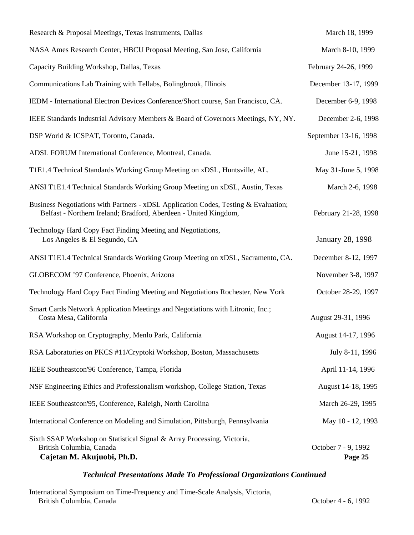| Research & Proposal Meetings, Texas Instruments, Dallas                                                                                                 | March 18, 1999                 |
|---------------------------------------------------------------------------------------------------------------------------------------------------------|--------------------------------|
| NASA Ames Research Center, HBCU Proposal Meeting, San Jose, California                                                                                  | March 8-10, 1999               |
| Capacity Building Workshop, Dallas, Texas                                                                                                               | February 24-26, 1999           |
| Communications Lab Training with Tellabs, Bolingbrook, Illinois                                                                                         | December 13-17, 1999           |
| IEDM - International Electron Devices Conference/Short course, San Francisco, CA.                                                                       | December 6-9, 1998             |
| IEEE Standards Industrial Advisory Members & Board of Governors Meetings, NY, NY.                                                                       | December 2-6, 1998             |
| DSP World & ICSPAT, Toronto, Canada.                                                                                                                    | September 13-16, 1998          |
| ADSL FORUM International Conference, Montreal, Canada.                                                                                                  | June 15-21, 1998               |
| T1E1.4 Technical Standards Working Group Meeting on xDSL, Huntsville, AL.                                                                               | May 31-June 5, 1998            |
| ANSI T1E1.4 Technical Standards Working Group Meeting on xDSL, Austin, Texas                                                                            | March 2-6, 1998                |
| Business Negotiations with Partners - xDSL Application Codes, Testing & Evaluation;<br>Belfast - Northern Ireland; Bradford, Aberdeen - United Kingdom, | February 21-28, 1998           |
| Technology Hard Copy Fact Finding Meeting and Negotiations,<br>Los Angeles & El Segundo, CA                                                             | January 28, 1998               |
| ANSI T1E1.4 Technical Standards Working Group Meeting on xDSL, Sacramento, CA.                                                                          | December 8-12, 1997            |
| GLOBECOM '97 Conference, Phoenix, Arizona                                                                                                               | November 3-8, 1997             |
| Technology Hard Copy Fact Finding Meeting and Negotiations Rochester, New York                                                                          | October 28-29, 1997            |
| Smart Cards Network Application Meetings and Negotiations with Litronic, Inc.;<br>Costa Mesa, California                                                | August 29-31, 1996             |
| RSA Workshop on Cryptography, Menlo Park, California                                                                                                    | August 14-17, 1996             |
| RSA Laboratories on PKCS #11/Cryptoki Workshop, Boston, Massachusetts                                                                                   | July 8-11, 1996                |
| IEEE Southeastcon'96 Conference, Tampa, Florida                                                                                                         | April 11-14, 1996              |
| NSF Engineering Ethics and Professionalism workshop, College Station, Texas                                                                             | August 14-18, 1995             |
| IEEE Southeastcon'95, Conference, Raleigh, North Carolina                                                                                               | March 26-29, 1995              |
| International Conference on Modeling and Simulation, Pittsburgh, Pennsylvania                                                                           | May 10 - 12, 1993              |
| Sixth SSAP Workshop on Statistical Signal & Array Processing, Victoria,<br>British Columbia, Canada<br>Cajetan M. Akujuobi, Ph.D.                       | October 7 - 9, 1992<br>Page 25 |

## *Technical Presentations Made To Professional Organizations Continued*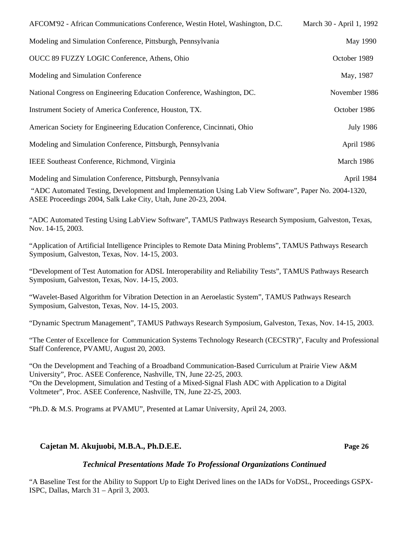| Cajetan M. Akujuobi, M.B.A., Ph.D.E.E.                                                                                                                                                                                                                                                                                                                     | Page 26                  |
|------------------------------------------------------------------------------------------------------------------------------------------------------------------------------------------------------------------------------------------------------------------------------------------------------------------------------------------------------------|--------------------------|
| "Ph.D. & M.S. Programs at PVAMU", Presented at Lamar University, April 24, 2003.                                                                                                                                                                                                                                                                           |                          |
| "On the Development and Teaching of a Broadband Communication-Based Curriculum at Prairie View A&M<br>University", Proc. ASEE Conference, Nashville, TN, June 22-25, 2003.<br>"On the Development, Simulation and Testing of a Mixed-Signal Flash ADC with Application to a Digital<br>Voltmeter", Proc. ASEE Conference, Nashville, TN, June 22-25, 2003. |                          |
| "The Center of Excellence for Communication Systems Technology Research (CECSTR)", Faculty and Professional<br>Staff Conference, PVAMU, August 20, 2003.                                                                                                                                                                                                   |                          |
| "Dynamic Spectrum Management", TAMUS Pathways Research Symposium, Galveston, Texas, Nov. 14-15, 2003.                                                                                                                                                                                                                                                      |                          |
| "Wavelet-Based Algorithm for Vibration Detection in an Aeroelastic System", TAMUS Pathways Research<br>Symposium, Galveston, Texas, Nov. 14-15, 2003.                                                                                                                                                                                                      |                          |
| "Development of Test Automation for ADSL Interoperability and Reliability Tests", TAMUS Pathways Research<br>Symposium, Galveston, Texas, Nov. 14-15, 2003.                                                                                                                                                                                                |                          |
| "Application of Artificial Intelligence Principles to Remote Data Mining Problems", TAMUS Pathways Research<br>Symposium, Galveston, Texas, Nov. 14-15, 2003.                                                                                                                                                                                              |                          |
| "ADC Automated Testing Using LabView Software", TAMUS Pathways Research Symposium, Galveston, Texas,<br>Nov. 14-15, 2003.                                                                                                                                                                                                                                  |                          |
| Modeling and Simulation Conference, Pittsburgh, Pennsylvania<br>"ADC Automated Testing, Development and Implementation Using Lab View Software", Paper No. 2004-1320,<br>ASEE Proceedings 2004, Salk Lake City, Utah, June 20-23, 2004.                                                                                                                    | April 1984               |
| IEEE Southeast Conference, Richmond, Virginia                                                                                                                                                                                                                                                                                                              | March 1986               |
| Modeling and Simulation Conference, Pittsburgh, Pennsylvania                                                                                                                                                                                                                                                                                               | April 1986               |
| American Society for Engineering Education Conference, Cincinnati, Ohio                                                                                                                                                                                                                                                                                    | <b>July 1986</b>         |
| Instrument Society of America Conference, Houston, TX.                                                                                                                                                                                                                                                                                                     | October 1986             |
| National Congress on Engineering Education Conference, Washington, DC.                                                                                                                                                                                                                                                                                     | November 1986            |
| Modeling and Simulation Conference                                                                                                                                                                                                                                                                                                                         | May, 1987                |
| OUCC 89 FUZZY LOGIC Conference, Athens, Ohio                                                                                                                                                                                                                                                                                                               | October 1989             |
| Modeling and Simulation Conference, Pittsburgh, Pennsylvania                                                                                                                                                                                                                                                                                               | May 1990                 |
| AFCOM'92 - African Communications Conference, Westin Hotel, Washington, D.C.                                                                                                                                                                                                                                                                               | March 30 - April 1, 1992 |
|                                                                                                                                                                                                                                                                                                                                                            |                          |

## *Technical Presentations Made To Professional Organizations Continued*

"A Baseline Test for the Ability to Support Up to Eight Derived lines on the IADs for VoDSL, Proceedings GSPX-ISPC, Dallas, March 31 – April 3, 2003.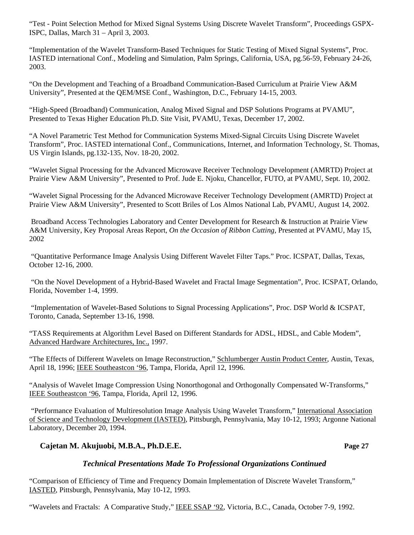"Test - Point Selection Method for Mixed Signal Systems Using Discrete Wavelet Transform", Proceedings GSPX-ISPC, Dallas, March 31 – April 3, 2003.

"Implementation of the Wavelet Transform-Based Techniques for Static Testing of Mixed Signal Systems", Proc. IASTED international Conf., Modeling and Simulation, Palm Springs, California, USA, pg.56-59, February 24-26, 2003.

"On the Development and Teaching of a Broadband Communication-Based Curriculum at Prairie View A&M University", Presented at the QEM/MSE Conf., Washington, D.C., February 14-15, 2003.

"High-Speed (Broadband) Communication, Analog Mixed Signal and DSP Solutions Programs at PVAMU", Presented to Texas Higher Education Ph.D. Site Visit, PVAMU, Texas, December 17, 2002.

"A Novel Parametric Test Method for Communication Systems Mixed-Signal Circuits Using Discrete Wavelet Transform", Proc. IASTED international Conf., Communications, Internet, and Information Technology, St. Thomas, US Virgin Islands, pg.132-135, Nov. 18-20, 2002.

"Wavelet Signal Processing for the Advanced Microwave Receiver Technology Development (AMRTD) Project at Prairie View A&M University", Presented to Prof. Jude E. Njoku, Chancellor, FUTO, at PVAMU, Sept. 10, 2002.

"Wavelet Signal Processing for the Advanced Microwave Receiver Technology Development (AMRTD) Project at Prairie View A&M University", Presented to Scott Briles of Los Almos National Lab, PVAMU, August 14, 2002.

Broadband Access Technologies Laboratory and Center Development for Research & Instruction at Prairie View A&M University, Key Proposal Areas Report*, On the Occasion of Ribbon Cutting,* Presented at PVAMU, May 15, 2002

 "Quantitative Performance Image Analysis Using Different Wavelet Filter Taps." Proc. ICSPAT, Dallas, Texas, October 12-16, 2000.

 "On the Novel Development of a Hybrid-Based Wavelet and Fractal Image Segmentation", Proc. ICSPAT, Orlando, Florida, November 1-4, 1999.

 "Implementation of Wavelet-Based Solutions to Signal Processing Applications", Proc. DSP World & ICSPAT, Toronto, Canada, September 13-16, 1998.

"TASS Requirements at Algorithm Level Based on Different Standards for ADSL, HDSL, and Cable Modem", Advanced Hardware Architectures, Inc., 1997.

"The Effects of Different Wavelets on Image Reconstruction," Schlumberger Austin Product Center, Austin, Texas, April 18, 1996; IEEE Southeastcon '96, Tampa, Florida, April 12, 1996.

"Analysis of Wavelet Image Compression Using Nonorthogonal and Orthogonally Compensated W-Transforms," IEEE Southeastcon '96, Tampa, Florida, April 12, 1996.

 "Performance Evaluation of Multiresolution Image Analysis Using Wavelet Transform," International Association of Science and Technology Development (IASTED), Pittsburgh, Pennsylvania, May 10-12, 1993; Argonne National Laboratory, December 20, 1994.

## **Cajetan M. Akujuobi, M.B.A., Ph.D.E.E. Page 27**

## *Technical Presentations Made To Professional Organizations Continued*

"Comparison of Efficiency of Time and Frequency Domain Implementation of Discrete Wavelet Transform," IASTED, Pittsburgh, Pennsylvania, May 10-12, 1993.

"Wavelets and Fractals: A Comparative Study," IEEE SSAP '92, Victoria, B.C., Canada, October 7-9, 1992.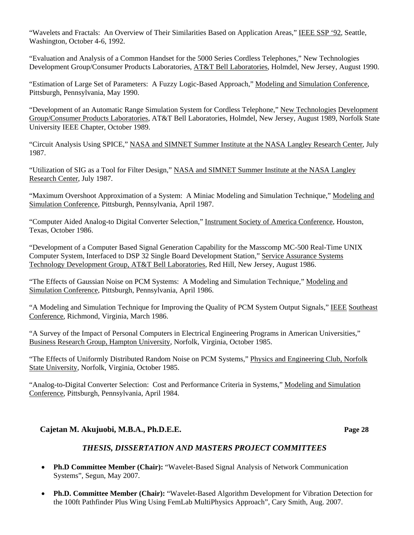"Wavelets and Fractals: An Overview of Their Similarities Based on Application Areas," IEEE SSP '92, Seattle, Washington, October 4-6, 1992.

"Evaluation and Analysis of a Common Handset for the 5000 Series Cordless Telephones," New Technologies Development Group/Consumer Products Laboratories, AT&T Bell Laboratories, Holmdel, New Jersey, August 1990.

"Estimation of Large Set of Parameters: A Fuzzy Logic-Based Approach," Modeling and Simulation Conference, Pittsburgh, Pennsylvania, May 1990.

"Development of an Automatic Range Simulation System for Cordless Telephone," New Technologies Development Group/Consumer Products Laboratories, AT&T Bell Laboratories, Holmdel, New Jersey, August 1989, Norfolk State University IEEE Chapter, October 1989.

"Circuit Analysis Using SPICE," NASA and SIMNET Summer Institute at the NASA Langley Research Center, July 1987.

"Utilization of SIG as a Tool for Filter Design," NASA and SIMNET Summer Institute at the NASA Langley Research Center, July 1987.

"Maximum Overshoot Approximation of a System: A Miniac Modeling and Simulation Technique," Modeling and Simulation Conference, Pittsburgh, Pennsylvania, April 1987.

"Computer Aided Analog-to Digital Converter Selection," Instrument Society of America Conference, Houston, Texas, October 1986.

"Development of a Computer Based Signal Generation Capability for the Masscomp MC-500 Real-Time UNIX Computer System, Interfaced to DSP 32 Single Board Development Station," Service Assurance Systems Technology Development Group, AT&T Bell Laboratories, Red Hill, New Jersey, August 1986.

"The Effects of Gaussian Noise on PCM Systems: A Modeling and Simulation Technique," Modeling and Simulation Conference, Pittsburgh, Pennsylvania, April 1986.

"A Modeling and Simulation Technique for Improving the Quality of PCM System Output Signals," IEEE Southeast Conference, Richmond, Virginia, March 1986.

"A Survey of the Impact of Personal Computers in Electrical Engineering Programs in American Universities," Business Research Group, Hampton University, Norfolk, Virginia, October 1985.

"The Effects of Uniformly Distributed Random Noise on PCM Systems," Physics and Engineering Club, Norfolk State University, Norfolk, Virginia, October 1985.

"Analog-to-Digital Converter Selection: Cost and Performance Criteria in Systems," Modeling and Simulation Conference, Pittsburgh, Pennsylvania, April 1984.

## **Cajetan M. Akujuobi, M.B.A., Ph.D.E.E. Page 28**

## *THESIS, DISSERTATION AND MASTERS PROJECT COMMITTEES*

- **Ph.D Committee Member (Chair):** "Wavelet-Based Signal Analysis of Network Communication Systems", Segun, May 2007.
- **Ph.D. Committee Member (Chair):** "Wavelet-Based Algorithm Development for Vibration Detection for the 100ft Pathfinder Plus Wing Using FemLab MultiPhysics Approach", Cary Smith, Aug. 2007.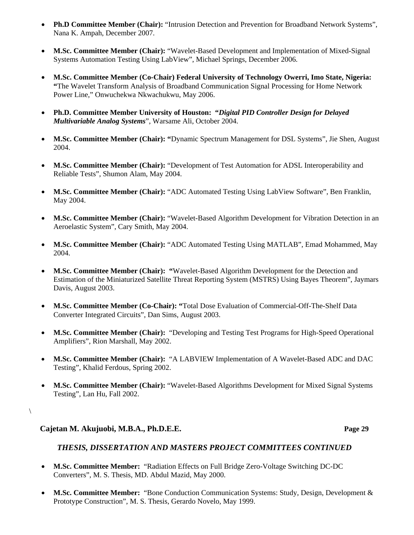- **Ph.D Committee Member (Chair):** "Intrusion Detection and Prevention for Broadband Network Systems", Nana K. Ampah, December 2007.
- **M.Sc. Committee Member (Chair):** "Wavelet-Based Development and Implementation of Mixed-Signal Systems Automation Testing Using LabView", Michael Springs, December 2006.
- **M.Sc. Committee Member (Co-Chair) Federal University of Technology Owerri, Imo State, Nigeria: "**The Wavelet Transform Analysis of Broadband Communication Signal Processing for Home Network Power Line," Onwuchekwa Nkwachukwu, May 2006.
- **Ph.D. Committee Member University of Houston: "***Digital PID Controller Design for Delayed Multivariable Analog Systems*", Warsame Ali, October 2004.
- **M.Sc. Committee Member (Chair): "**Dynamic Spectrum Management for DSL Systems", Jie Shen, August 2004.
- **M.Sc. Committee Member (Chair):** "Development of Test Automation for ADSL Interoperability and Reliable Tests", Shumon Alam, May 2004.
- **M.Sc. Committee Member (Chair):** "ADC Automated Testing Using LabView Software", Ben Franklin, May 2004.
- **M.Sc. Committee Member (Chair):** "Wavelet-Based Algorithm Development for Vibration Detection in an Aeroelastic System", Cary Smith, May 2004.
- **M.Sc. Committee Member (Chair):** "ADC Automated Testing Using MATLAB", Emad Mohammed, May 2004.
- **M.Sc. Committee Member (Chair): "**Wavelet-Based Algorithm Development for the Detection and Estimation of the Miniaturized Satellite Threat Reporting System (MSTRS) Using Bayes Theorem", Jaymars Davis, August 2003.
- **M.Sc. Committee Member (Co-Chair): "**Total Dose Evaluation of Commercial-Off-The-Shelf Data Converter Integrated Circuits", Dan Sims, August 2003.
- **M.Sc. Committee Member (Chair):** "Developing and Testing Test Programs for High-Speed Operational Amplifiers", Rion Marshall, May 2002.
- **M.Sc. Committee Member (Chair):** "A LABVIEW Implementation of A Wavelet-Based ADC and DAC Testing", Khalid Ferdous, Spring 2002.
- **M.Sc. Committee Member (Chair):** "Wavelet-Based Algorithms Development for Mixed Signal Systems Testing", Lan Hu, Fall 2002.

 $\setminus$ 

## **Cajetan M. Akujuobi, M.B.A., Ph.D.E.E. Page 29**

## *THESIS, DISSERTATION AND MASTERS PROJECT COMMITTEES CONTINUED*

- **M.Sc. Committee Member:** "Radiation Effects on Full Bridge Zero-Voltage Switching DC-DC Converters", M. S. Thesis, MD. Abdul Mazid, May 2000.
- **M.Sc. Committee Member:** "Bone Conduction Communication Systems: Study, Design, Development & Prototype Construction", M. S. Thesis, Gerardo Novelo, May 1999.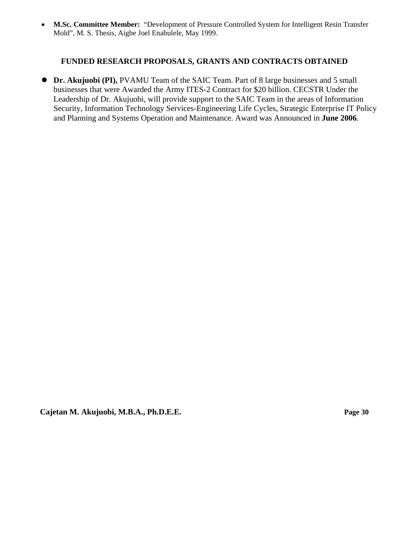• **M.Sc. Committee Member:** "Development of Pressure Controlled System for Intelligent Resin Transfer Mold", M. S. Thesis, Aigbe Joel Enabulele, May 1999.

## **FUNDED RESEARCH PROPOSALS, GRANTS AND CONTRACTS OBTAINED**

**• Dr. Akujuobi (PI),** PVAMU Team of the SAIC Team. Part of 8 large businesses and 5 small businesses that were Awarded the Army ITES-2 Contract for \$20 billion. CECSTR Under the Leadership of Dr. Akujuobi, will provide support to the SAIC Team in the areas of Information Security, Information Technology Services-Engineering Life Cycles, Strategic Enterprise IT Policy and Planning and Systems Operation and Maintenance. Award was Announced in **June 2006**.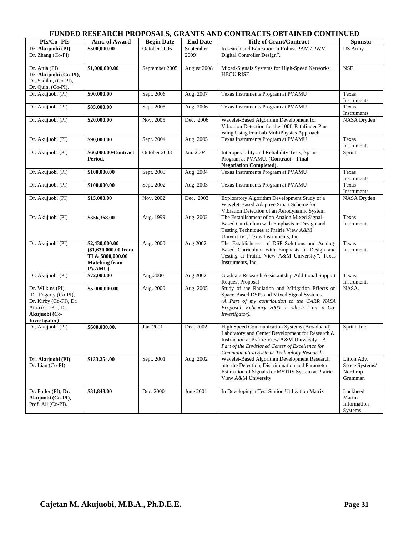## **FUNDED RESEARCH PROPOSALS, GRANTS AND CONTRACTS OBTAINED CONTINUED**

| PIs/Co-PIs                                    | Amt. of Award                             | <b>Begin Date</b> | <b>End Date</b> | <b>Title of Grant/Contract</b>                                                                 | <b>Sponsor</b>       |
|-----------------------------------------------|-------------------------------------------|-------------------|-----------------|------------------------------------------------------------------------------------------------|----------------------|
| Dr. Akujuobi (PI)                             | \$500,000.00                              | October 2006      | September       | Research and Education in Robust PAM / PWM                                                     | <b>US Army</b>       |
| Dr. Zhang (Co-PI)                             |                                           |                   | 2009            | Digital Controller Design".                                                                    |                      |
|                                               |                                           |                   |                 |                                                                                                |                      |
| Dr. Attia (PI)                                | \$1,000,000.00                            | September 2005    | August 2008     | Mixed-Signals Systems for High-Speed Networks,                                                 | <b>NSF</b>           |
| Dr. Akujuobi (Co-PI),<br>Dr. Sadiku, (Co-PI), |                                           |                   |                 | <b>HBCU RISE</b>                                                                               |                      |
| Dr. Quin, (Co-PI).                            |                                           |                   |                 |                                                                                                |                      |
| Dr. Akujuobi (PI)                             | \$90,000.00                               | Sept. 2006        | Aug. 2007       | Texas Instruments Program at PVAMU                                                             | Texas                |
|                                               |                                           |                   |                 |                                                                                                | Instruments          |
| Dr. Akujuobi (PI)                             | \$85,000.00                               | Sept. 2005        | Aug. 2006       | Texas Instruments Program at PVAMU                                                             | Texas                |
|                                               |                                           |                   |                 |                                                                                                | Instruments          |
| Dr. Akujuobi (PI)                             | \$20,000.00                               | Nov. 2005         | Dec. 2006       | Wavelet-Based Algorithm Development for                                                        | NASA Dryden          |
|                                               |                                           |                   |                 | Vibration Detection for the 100ft Pathfinder Plus                                              |                      |
|                                               |                                           |                   |                 | Wing Using FemLab MultiPhysics Approach                                                        |                      |
| Dr. Akujuobi (PI)                             | \$90,000.00                               | Sept. 2004        | Aug. 2005       | Texas Instruments Program at PVAMU                                                             | Texas<br>Instruments |
| Dr. Akujuobi (PI)                             | \$66,000.00/Contract                      | October 2003      | Jan. 2004       | Interoperability and Reliability Tests, Sprint                                                 | Sprint               |
|                                               | Period.                                   |                   |                 | Program at PVAMU. (Contract - Final                                                            |                      |
|                                               |                                           |                   |                 | <b>Negotiation Completed).</b>                                                                 |                      |
| Dr. Akujuobi (PI)                             | \$100,000.00                              | Sept. 2003        | Aug. 2004       | Texas Instruments Program at PVAMU                                                             | Texas                |
|                                               |                                           |                   |                 |                                                                                                | Instruments          |
| Dr. Akujuobi (PI)                             | \$100,000.00                              | Sept. 2002        | Aug. 2003       | Texas Instruments Program at PVAMU                                                             | Texas                |
|                                               |                                           | Nov. 2002         | Dec. 2003       | Exploratory Algorithm Development Study of a                                                   | Instruments          |
| Dr. Akujuobi (PI)                             | \$15,000.00                               |                   |                 | Wavelet-Based Adaptive Smart Scheme for                                                        | NASA Dryden          |
|                                               |                                           |                   |                 | Vibration Detection of an Aerodynamic System.                                                  |                      |
| Dr. Akujuobi (PI)                             | \$356,368.00                              | Aug. 1999         | Aug. 2002       | The Establishment of an Analog Mixed Signal-                                                   | Texas                |
|                                               |                                           |                   |                 | Based Curriculum with Emphasis in Design and                                                   | Instruments          |
|                                               |                                           |                   |                 | Testing Techniques at Prairie View A&M                                                         |                      |
|                                               |                                           |                   |                 | University", Texas Instruments, Inc.                                                           |                      |
| Dr. Akujuobi (PI)                             | \$2,430,000.00                            | Aug. 2000         | Aug 2002        | The Establishment of DSP Solutions and Analog-                                                 | Texas                |
|                                               | (\$1,630,000.00 from<br>TI & \$800,000.00 |                   |                 | Based Curriculum with Emphasis in Design and<br>Testing at Prairie View A&M University", Texas | Instruments          |
|                                               | <b>Matching from</b>                      |                   |                 | Instruments, Inc.                                                                              |                      |
|                                               | <b>PVAMU)</b>                             |                   |                 |                                                                                                |                      |
| Dr. Akujuobi (PI)                             | \$72,000.00                               | Aug.2000          | Aug 2002        | Graduate Research Assistantship Additional Support                                             | Texas                |
|                                               |                                           |                   |                 | <b>Request Proposal</b>                                                                        | Instruments          |
| Dr. Wilkins (PI),                             | \$5,000,000.00                            | Aug. 2000         | Aug. 2005       | Study of the Radiation and Mitigation Effects on                                               | NASA.                |
| Dr. Fogarty (Co-PI),                          |                                           |                   |                 | Space-Based DSPs and Mixed Signal Systems.                                                     |                      |
| Dr. Kirby (Co-PI), Dr.<br>Attia (Co-PI), Dr.  |                                           |                   |                 | (A Part of my contribution to the CARR NASA<br>Proposal, February 2000 in which I am a Co-     |                      |
| Akujuobi (Co-                                 |                                           |                   |                 | Investigator).                                                                                 |                      |
| Investigator)                                 |                                           |                   |                 |                                                                                                |                      |
| Dr. Akujuobi (PI)                             | \$600,000.00.                             | Jan. 2001         | Dec. 2002       | High Speed Communication Systems (Broadband)                                                   | Sprint, Inc.         |
|                                               |                                           |                   |                 | Laboratory and Center Development for Research &                                               |                      |
|                                               |                                           |                   |                 | Instruction at Prairie View A&M University $-A$                                                |                      |
|                                               |                                           |                   |                 | Part of the Envisioned Center of Excellence for                                                |                      |
|                                               |                                           |                   |                 | Communication Systems Technology Research.<br>Wavelet-Based Algorithm Development Research     | Litton Adv.          |
| Dr. Akujuobi (PI)<br>Dr. Lian (Co-PI)         | \$133,254.00                              | Sept. 2001        | Aug. 2002       | into the Detection, Discrimination and Parameter                                               | Space Systems/       |
|                                               |                                           |                   |                 | Estimation of Signals for MSTRS System at Prairie                                              | Northrop             |
|                                               |                                           |                   |                 | View A&M University                                                                            | Grumman              |
|                                               |                                           |                   |                 |                                                                                                |                      |
| Dr. Fuller (PI), Dr.                          | \$31,848.00                               | Dec. 2000         | June 2001       | In Developing a Test Station Utilization Matrix                                                | Lockheed             |
| Akujuobi (Co-PI),                             |                                           |                   |                 |                                                                                                | Martin               |
| Prof. Ali (Co-PI).                            |                                           |                   |                 |                                                                                                | Information          |
|                                               |                                           |                   |                 |                                                                                                | Systems              |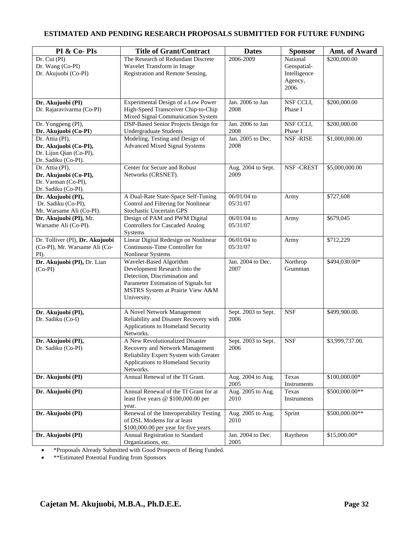## **ESTIMATED AND PENDING RESEARCH PROPOSALS SUBMITTED FOR FUTURE FUNDING**

| PI & Co-PIs                                  | <b>Title of Grant/Contract</b>                                              | <b>Dates</b>               | <b>Sponsor</b>              | Amt. of Award   |
|----------------------------------------------|-----------------------------------------------------------------------------|----------------------------|-----------------------------|-----------------|
| Dr. Cui (PI)                                 | The Research of Redundant Discrete                                          | 2006-2009                  | National                    | \$200,000.00    |
| Dr. Wang (Co-PI)                             | Wavelet Transform in Image                                                  |                            | Geospatial-                 |                 |
| Dr. Akujuobi (Co-PI)                         | Registration and Remote Sensing,                                            |                            | Intelligence                |                 |
|                                              |                                                                             |                            | Agency,                     |                 |
|                                              |                                                                             |                            | 2006.                       |                 |
| Dr. Akujuobi (PI)                            | Experimental Design of a Low Power                                          | Jan. 2006 to Jan           | NSF CCLI,                   | \$200,000.00    |
| Dr. Rajaravivarma (Co-PI)                    | High-Speed Transceiver Chip-to-Chip                                         | 2008                       | Phase I                     |                 |
|                                              | Mixed Signal Communication System                                           |                            |                             |                 |
| Dr. Yongpeng (PI),                           | DSP-Based Senior Projects Design for                                        | Jan. 2006 to Jan           | NSF CCLI,                   | \$200,000.00    |
| Dr. Akujuobi (Co-PI)                         | <b>Undergraduate Students</b>                                               | 2008                       | Phase I                     |                 |
| Dr. Attia (PI),                              | Modeling, Testing and Design of                                             | Jan. 2005 to Dec.          | NSF-RISE                    | \$1,000,000.00  |
| Dr. Akujuobi (Co-PI),                        | <b>Advanced Mixed Signal Systems</b>                                        | 2008                       |                             |                 |
| Dr. Lijun Qian (Co-PI),                      |                                                                             |                            |                             |                 |
| Dr. Sadiku (Co-PI).                          |                                                                             |                            |                             |                 |
| Dr. Attia (PI),                              | Center for Secure and Robust                                                | Aug. 2004 to Sept.<br>2009 | NSF-CREST                   | \$5,000,000.00  |
| Dr. Akujuobi (Co-PI),<br>Dr. Varman (Co-PI), | Networks (CRSNET).                                                          |                            |                             |                 |
| Dr. Sadiku (Co-PI).                          |                                                                             |                            |                             |                 |
| Dr. Akujuobi (PI),                           | A Dual-Rate State-Space Self-Tuning                                         | 06/01/04 to                | Army                        | \$727,608       |
| Dr. Sadiku (Co-PI),                          | Control and Filtering for Nonlinear                                         | 05/31/07                   |                             |                 |
| Mr. Warsame Ali (Co-PI).                     | Stochastic Uncertain GPS                                                    |                            |                             |                 |
| Dr. Akujuobi (PI), Mr.                       | Design of PAM and PWM Digital                                               | 06/01/04 to                | Army                        | \$679,045       |
| Warsame Ali (Co-PI).                         | <b>Controllers for Cascaded Analog</b>                                      | 05/31/07                   |                             |                 |
|                                              | Systems                                                                     |                            |                             |                 |
| Dr. Tolliver (PI), Dr. Akujuobi              | Linear Digital Redesign on Nonlinear                                        | 06/01/04 to                | Army                        | \$712,229       |
| (Co-PI), Mr. Warsame Ali (Co-                | Continuous-Time Controller for                                              | 05/31/07                   |                             |                 |
| PI).                                         | Nonlinear Systems                                                           |                            |                             |                 |
| Dr. Akujuobi (PI), Dr. Lian<br>$(Co-PI)$     | Wavelet-Based Algorithm<br>Development Research into the                    | Jan. 2004 to Dec.<br>2007  | Northrop<br>Grumman         | \$494,030.00*   |
|                                              | Detection, Discrimination and                                               |                            |                             |                 |
|                                              | Parameter Estimation of Signals for                                         |                            |                             |                 |
|                                              | MSTRS System at Prairie View A&M                                            |                            |                             |                 |
|                                              | University.                                                                 |                            |                             |                 |
|                                              |                                                                             |                            |                             |                 |
| Dr. Akujuobi (PI),                           | A Novel Network Management                                                  | Sept. 2003 to Sept.        | <b>NSF</b>                  | \$499,900.00.   |
| Dr. Sadiku (Co-I)                            | Reliability and Disaster Recovery with<br>Applications to Homeland Security | 2006                       |                             |                 |
|                                              | Networks.                                                                   |                            |                             |                 |
| Dr. Akujuobi (PI),                           | A New Revolutionalized Disaster                                             | Sept. 2003 to Sept.        | <b>NSF</b>                  | \$3,999,737.00. |
| Dr. Sadiku (Co-PI)                           | Recovery and Network Management                                             | 2006                       |                             |                 |
|                                              | Reliability Expert System with Greater                                      |                            |                             |                 |
|                                              | Applications to Homeland Security                                           |                            |                             |                 |
|                                              | Networks.                                                                   |                            |                             |                 |
| Dr. Akujuobi (PI)                            | Annual Renewal of the TI Grant.                                             | Aug. 2004 to Aug.          | Texas                       | \$100,000.00*   |
|                                              |                                                                             | 2005                       | Instruments                 |                 |
| Dr. Akujuobi (PI)                            | Annual Renewal of the TI Grant for at                                       | Aug. 2005 to Aug.<br>2010  | Texas<br><b>Instruments</b> | \$500,000.00**  |
|                                              | least five years @ \$100,000.00 per<br>year.                                |                            |                             |                 |
| Dr. Akujuobi (PI)                            | Renewal of the Interoperability Testing                                     | Aug. 2005 to Aug.          | Sprint                      | \$500,000.00**  |
|                                              | of DSL Modems for at least                                                  | 2010                       |                             |                 |
|                                              | \$100,000.00 per year for five years.                                       |                            |                             |                 |
| Dr. Akujuobi (PI)                            | Annual Registration to Standard                                             | Jan. 2004 to Dec.          | Raytheon                    | \$15,000.00*    |
|                                              | Organizations, etc.                                                         | 2005                       |                             |                 |

• \*Proposals Already Submitted with Good Prospects of Being Funded.

• \*\*Estimated Potential Funding from Sponsors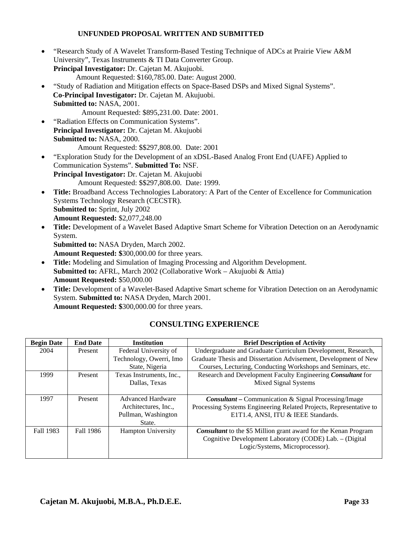## **UNFUNDED PROPOSAL WRITTEN AND SUBMITTED**

- "Research Study of A Wavelet Transform-Based Testing Technique of ADCs at Prairie View A&M University", Texas Instruments & TI Data Converter Group. **Principal Investigator:** Dr. Cajetan M. Akujuobi. Amount Requested: \$160,785.00. Date: August 2000. • "Study of Radiation and Mitigation effects on Space-Based DSPs and Mixed Signal Systems". **Co-Principal Investigator:** Dr. Cajetan M. Akujuobi. **Submitted to:** NASA, 2001. Amount Requested: \$895,231.00. Date: 2001. • "Radiation Effects on Communication Systems". **Principal Investigator:** Dr. Cajetan M. Akujuobi **Submitted to:** NASA, 2000. Amount Requested: \$\$297,808.00. Date: 2001 • "Exploration Study for the Development of an xDSL-Based Analog Front End (UAFE) Applied to Communication Systems". **Submitted To:** NSF. **Principal Investigator:** Dr. Cajetan M. Akujuobi Amount Requested: \$\$297,808.00. Date: 1999. • **Title:** Broadband Access Technologies Laboratory: A Part of the Center of Excellence for Communication Systems Technology Research (CECSTR). **Submitted to:** Sprint, July 2002 **Amount Requested:** \$2,077,248.00
- **Title:** Development of a Wavelet Based Adaptive Smart Scheme for Vibration Detection on an Aerodynamic System.

**Submitted to:** NASA Dryden, March 2002.

**Amount Requested: \$**300,000.00 for three years.

- **Title:** Modeling and Simulation of Imaging Processing and Algorithm Development. **Submitted to:** AFRL, March 2002 (Collaborative Work – Akujuobi & Attia) **Amount Requested:** \$50,000.00
- **Title:** Development of a Wavelet-Based Adaptive Smart scheme for Vibration Detection on an Aerodynamic System. **Submitted to:** NASA Dryden, March 2001. **Amount Requested: \$**300,000.00 for three years.

## **CONSULTING EXPERIENCE**

| <b>Begin Date</b> | <b>End Date</b> | <b>Institution</b>        | <b>Brief Description of Activity</b>                                   |
|-------------------|-----------------|---------------------------|------------------------------------------------------------------------|
| 2004              | Present         | Federal University of     | Undergraduate and Graduate Curriculum Development, Research,           |
|                   |                 | Technology, Owerri, Imo   | Graduate Thesis and Dissertation Advisement, Development of New        |
|                   |                 | State, Nigeria            | Courses, Lecturing, Conducting Workshops and Seminars, etc.            |
| 1999              | Present         | Texas Instruments, Inc.,  | Research and Development Faculty Engineering Consultant for            |
|                   |                 | Dallas, Texas             | Mixed Signal Systems                                                   |
|                   |                 |                           |                                                                        |
| 1997              | Present         | <b>Advanced Hardware</b>  | <b>Consultant</b> – Communication & Signal Processing/Image            |
|                   |                 | Architectures, Inc.,      | Processing Systems Engineering Related Projects, Representative to     |
|                   |                 | Pullman, Washington       | E1T1.4, ANSI, ITU & IEEE Standards.                                    |
|                   |                 | State.                    |                                                                        |
| Fall 1983         | Fall 1986       | <b>Hampton University</b> | <b>Consultant</b> to the \$5 Million grant award for the Kenan Program |
|                   |                 |                           | Cognitive Development Laboratory (CODE) Lab. - (Digital                |
|                   |                 |                           | Logic/Systems, Microprocessor).                                        |
|                   |                 |                           |                                                                        |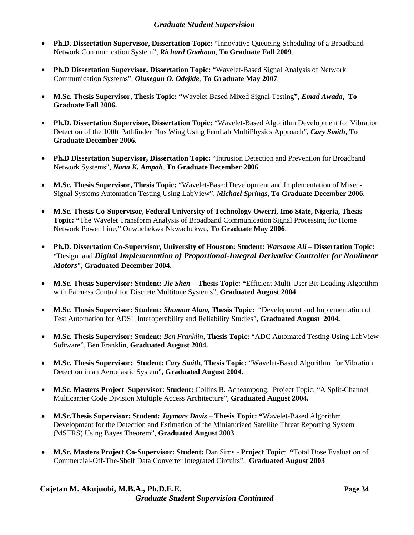## *Graduate Student Supervision*

- **Ph.D. Dissertation Supervisor, Dissertation Topic:** "Innovative Queueing Scheduling of a Broadband Network Communication System", *Richard Gnahoua*, **To Graduate Fall 2009**.
- **Ph.D Dissertation Supervisor, Dissertation Topic:** "Wavelet-Based Signal Analysis of Network Communication Systems", *Olusegun O. Odejide*, **To Graduate May 2007**.
- **M.Sc. Thesis Supervisor, Thesis Topic: "**Wavelet-Based Mixed Signal Testing**",** *Emad Awada***, To Graduate Fall 2006.**
- **Ph.D. Dissertation Supervisor, Dissertation Topic:** "Wavelet-Based Algorithm Development for Vibration Detection of the 100ft Pathfinder Plus Wing Using FemLab MultiPhysics Approach", *Cary Smith*, **To Graduate December 2006**.
- **Ph.D Dissertation Supervisor, Dissertation Topic:** "Intrusion Detection and Prevention for Broadband Network Systems", *Nana K. Ampah*, **To Graduate December 2006**.
- **M.Sc. Thesis Supervisor, Thesis Topic:** "Wavelet-Based Development and Implementation of Mixed-Signal Systems Automation Testing Using LabView", *Michael Springs*, **To Graduate December 2006**.
- **M.Sc. Thesis Co-Supervisor, Federal University of Technology Owerri, Imo State, Nigeria, Thesis Topic: "**The Wavelet Transform Analysis of Broadband Communication Signal Processing for Home Network Power Line," Onwuchekwa Nkwachukwu, **To Graduate May 2006**.
- **Ph.D. Dissertation Co-Supervisor, University of Houston: Student:** *Warsame Ali* **Dissertation Topic: "**Design and *Digital Implementation of Proportional-Integral Derivative Controller for Nonlinear Motors*", **Graduated December 2004.**
- **M.Sc. Thesis Supervisor: Student:** *Jie Shen*  **Thesis Topic: "**Efficient Multi-User Bit-Loading Algorithm with Fairness Control for Discrete Multitone Systems", **Graduated August 2004**.
- **M.Sc. Thesis Supervisor: Student:** *Shumon Alam,* **Thesis Topic:** "Development and Implementation of Test Automation for ADSL Interoperability and Reliability Studies", **Graduated August 2004.**
- **M.Sc. Thesis Supervisor: Student:** *Ben Franklin,* **Thesis Topic:** "ADC Automated Testing Using LabView Software", Ben Franklin, **Graduated August 2004.**
- **M.Sc. Thesis Supervisor: Student:** *Cary Smith,* **Thesis Topic:** "Wavelet-Based Algorithm for Vibration Detection in an Aeroelastic System", **Graduated August 2004.**
- **M.Sc. Masters Project Supervisor**: **Student:** Collins B. Acheampong, Project Topic: "A Split-Channel Multicarrier Code Division Multiple Access Architecture", **Graduated August 2004.**
- **M.Sc.Thesis Supervisor: Student:** *Jaymars Davis* **Thesis Topic: "**Wavelet-Based Algorithm Development for the Detection and Estimation of the Miniaturized Satellite Threat Reporting System (MSTRS) Using Bayes Theorem", **Graduated August 2003**.
- **M.Sc. Masters Project Co-Supervisor: Student:** Dan Sims **Project Topic**: **"**Total Dose Evaluation of Commercial-Off-The-Shelf Data Converter Integrated Circuits", **Graduated August 2003**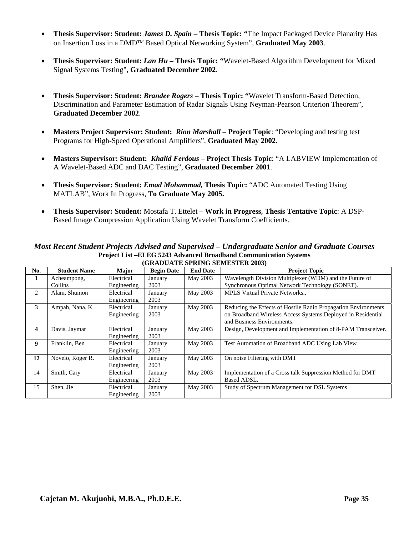- **Thesis Supervisor: Student:** *James D. Spain* **Thesis Topic: "**The Impact Packaged Device Planarity Has on Insertion Loss in a DMD™ Based Optical Networking System", **Graduated May 2003**.
- **Thesis Supervisor: Student:** *Lan Hu* **Thesis Topic: "**Wavelet-Based Algorithm Development for Mixed Signal Systems Testing", **Graduated December 2002**.
- **Thesis Supervisor: Student:** *Brandee Rogers* **Thesis Topic: "**Wavelet Transform-Based Detection, Discrimination and Parameter Estimation of Radar Signals Using Neyman-Pearson Criterion Theorem", **Graduated December 2002**.
- **Masters Project Supervisor: Student:** *Rion Marshall* **Project Topic**: "Developing and testing test Programs for High-Speed Operational Amplifiers", **Graduated May 2002**.
- **Masters Supervisor: Student:** *Khalid Ferdous* **Project Thesis Topic**: "A LABVIEW Implementation of A Wavelet-Based ADC and DAC Testing", **Graduated December 2001**.
- **Thesis Supervisor: Student:** *Emad Mohammad,* **Thesis Topic:** "ADC Automated Testing Using MATLAB", Work In Progress, **To Graduate May 2005.**
- **Thesis Supervisor: Student:** Mostafa T. Ettelet **Work in Progress**, **Thesis Tentative Topic**: A DSP-Based Image Compression Application Using Wavelet Transform Coefficients.

|                         | organ change in the solution of the cove |             |                   |                 |                                                                |  |  |  |  |
|-------------------------|------------------------------------------|-------------|-------------------|-----------------|----------------------------------------------------------------|--|--|--|--|
| No.                     | <b>Student Name</b>                      | Major       | <b>Begin Date</b> | <b>End Date</b> | <b>Project Topic</b>                                           |  |  |  |  |
| $\perp$                 | Acheampong,                              | Electrical  | January           | May 2003        | Wavelength Division Multiplexer (WDM) and the Future of        |  |  |  |  |
|                         | Collins                                  | Engineering | 2003              |                 | Synchronous Optimal Network Technology (SONET).                |  |  |  |  |
| 2                       | Alam, Shumon                             | Electrical  | January           | May 2003        | <b>MPLS Virtual Private Networks</b>                           |  |  |  |  |
|                         |                                          | Engineering | 2003              |                 |                                                                |  |  |  |  |
| 3                       | Ampah, Nana, K                           | Electrical  | January           | May 2003        | Reducing the Effects of Hostile Radio Propagation Environments |  |  |  |  |
|                         |                                          | Engineering | 2003              |                 | on Broadband Wireless Access Systems Deployed in Residential   |  |  |  |  |
|                         |                                          |             |                   |                 | and Business Environments.                                     |  |  |  |  |
| $\overline{\mathbf{4}}$ | Davis, Jaymar                            | Electrical  | January           | May 2003        | Design, Development and Implementation of 8-PAM Transceiver.   |  |  |  |  |
|                         |                                          | Engineering | 2003              |                 |                                                                |  |  |  |  |
| 9                       | Franklin, Ben                            | Electrical  | January           | May 2003        | Test Automation of Broadband ADC Using Lab View                |  |  |  |  |
|                         |                                          | Engineering | 2003              |                 |                                                                |  |  |  |  |
| 12                      | Novelo, Roger R.                         | Electrical  | January           | May 2003        | On noise Filtering with DMT                                    |  |  |  |  |
|                         |                                          | Engineering | 2003              |                 |                                                                |  |  |  |  |
| 14                      | Smith, Cary                              | Electrical  | January           | May 2003        | Implementation of a Cross talk Suppression Method for DMT      |  |  |  |  |
|                         |                                          | Engineering | 2003              |                 | Based ADSL.                                                    |  |  |  |  |
| 15                      | Shen, Jie                                | Electrical  | January           | May 2003        | Study of Spectrum Management for DSL Systems                   |  |  |  |  |
|                         |                                          | Engineering | 2003              |                 |                                                                |  |  |  |  |

*Most Recent Student Projects Advised and Supervised – Undergraduate Senior and Graduate Courses*  **Project List –ELEG 5243 Advanced Broadband Communication Systems (GRADUATE SPRING SEMESTER 2003)**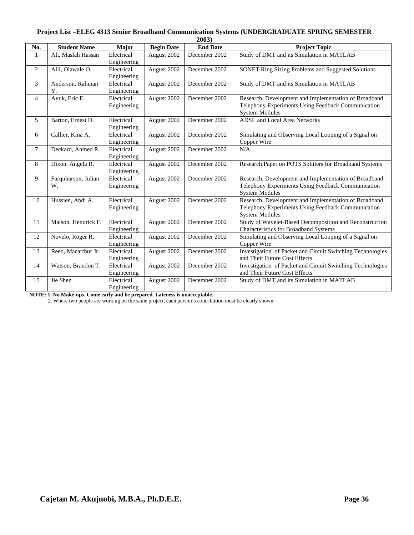#### **Project List –ELEG 4313 Senior Broadband Communication Systems (UNDERGRADUATE SPRING SEMESTER 2003)**

|                | ZUU3)                     |                           |                   |                 |                                                                                                                                      |  |  |  |  |  |
|----------------|---------------------------|---------------------------|-------------------|-----------------|--------------------------------------------------------------------------------------------------------------------------------------|--|--|--|--|--|
| No.            | <b>Student Name</b>       | Major                     | <b>Begin Date</b> | <b>End Date</b> | <b>Project Topic</b>                                                                                                                 |  |  |  |  |  |
| 1              | Ali, Maslah Hassan        | Electrical<br>Engineering | August 2002       | December 2002   | Study of DMT and its Simulation in MATLAB                                                                                            |  |  |  |  |  |
| 2              | Alli, Olawale O.          | Electrical<br>Engineering | August 2002       | December 2002   | SONET Ring Sizing Problems and Suggested Solutions                                                                                   |  |  |  |  |  |
| 3              | Anderson, Rahman<br>Y.    | Electrical<br>Engineering | August 2002       | December 2002   | Study of DMT and its Simulation in MATLAB                                                                                            |  |  |  |  |  |
| $\overline{4}$ | Ayuk, Eric E.             | Electrical<br>Engineering | August 2002       | December 2002   | Research, Development and Implementation of Broadband<br>Telephony Experiments Using Feedback Communication<br><b>System Modules</b> |  |  |  |  |  |
| 5              | Barton, Ernest D.         | Electrical<br>Engineering | August 2002       | December 2002   | <b>ADSL</b> and Local Area Networks                                                                                                  |  |  |  |  |  |
| 6              | Callier, Kina A.          | Electrical<br>Engineering | August 2002       | December 2002   | Simulating and Observing Local Looping of a Signal on<br>Copper Wire                                                                 |  |  |  |  |  |
| $\tau$         | Deckard, Ahmed R.         | Electrical<br>Engineering | August 2002       | December 2002   | N/A                                                                                                                                  |  |  |  |  |  |
| 8              | Dixon, Angela R.          | Electrical<br>Engineering | August 2002       | December 2002   | Research Paper on POTS Splitters for Broadband Systems                                                                               |  |  |  |  |  |
| 9              | Farquharson, Julian<br>W. | Electrical<br>Engineering | August 2002       | December 2002   | Research, Development and Implementation of Broadband<br>Telephony Experiments Using Feedback Communication<br><b>System Modules</b> |  |  |  |  |  |
| 10             | Hussien, Abdi A.          | Electrical<br>Engineering | August 2002       | December 2002   | Research, Development and Implementation of Broadband<br>Telephony Experiments Using Feedback Communication<br><b>System Modules</b> |  |  |  |  |  |
| 11             | Maison, Hendrick F.       | Electrical<br>Engineering | August 2002       | December 2002   | Study of Wavelet-Based Decomposition and Reconstruction<br>Characteristics for Broadband Systems                                     |  |  |  |  |  |
| 12             | Novelo, Roger R.          | Electrical<br>Engineering | August 2002       | December 2002   | Simulating and Observing Local Looping of a Signal on<br>Copper Wire                                                                 |  |  |  |  |  |
| 13             | Reed, Macarthur Jr.       | Electrical<br>Engineering | August 2002       | December 2002   | Investigation of Packet and Circuit Switching Technologies<br>and Their Future Cost Effects                                          |  |  |  |  |  |
| 14             | Watson, Brandon T.        | Electrical<br>Engineering | August 2002       | December 2002   | Investigation of Packet and Circuit Switching Technologies<br>and Their Future Cost Effects                                          |  |  |  |  |  |
| 15             | Jie Shen                  | Electrical<br>Engineering | August 2002       | December 2002   | Study of DMT and its Simulation in MATLAB                                                                                            |  |  |  |  |  |

**NOTE: 1. No Make-ups. Come early and be prepared. Lateness is unacceptable.** 

2. Where two people are working on the same project, each person's contribution must be clearly shown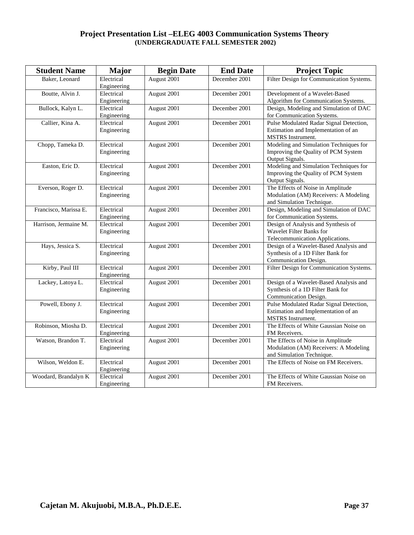## **Project Presentation List –ELEG 4003 Communication Systems Theory (UNDERGRADUATE FALL SEMESTER 2002)**

| <b>Student Name</b>   | <b>Major</b>              | <b>Begin Date</b> | <b>End Date</b> | <b>Project Topic</b>                                                                                       |
|-----------------------|---------------------------|-------------------|-----------------|------------------------------------------------------------------------------------------------------------|
| Baker, Leonard        | Electrical<br>Engineering | August 2001       | December 2001   | Filter Design for Communication Systems.                                                                   |
| Boutte, Alvin J.      | Electrical<br>Engineering | August 2001       | December 2001   | Development of a Wavelet-Based<br>Algorithm for Communication Systems.                                     |
| Bullock, Kalyn L.     | Electrical<br>Engineering | August 2001       | December 2001   | Design, Modeling and Simulation of DAC<br>for Communication Systems.                                       |
| Callier, Kina A.      | Electrical<br>Engineering | August 2001       | December 2001   | Pulse Modulated Radar Signal Detection,<br>Estimation and Implementation of an<br>MSTRS Instrument.        |
| Chopp, Tameka D.      | Electrical<br>Engineering | August 2001       | December 2001   | Modeling and Simulation Techniques for<br>Improving the Quality of PCM System<br>Output Signals.           |
| Easton, Eric D.       | Electrical<br>Engineering | August 2001       | December 2001   | Modeling and Simulation Techniques for<br>Improving the Quality of PCM System<br>Output Signals.           |
| Everson, Roger D.     | Electrical<br>Engineering | August 2001       | December 2001   | The Effects of Noise in Amplitude<br>Modulation (AM) Receivers: A Modeling<br>and Simulation Technique.    |
| Francisco, Marissa E. | Electrical<br>Engineering | August 2001       | December 2001   | Design, Modeling and Simulation of DAC<br>for Communication Systems.                                       |
| Harrison, Jermaine M. | Electrical<br>Engineering | August 2001       | December 2001   | Design of Analysis and Synthesis of<br>Wavelet Filter Banks for<br>Telecommunication Applications.         |
| Hays, Jessica S.      | Electrical<br>Engineering | August 2001       | December 2001   | Design of a Wavelet-Based Analysis and<br>Synthesis of a 1D Filter Bank for<br>Communication Design.       |
| Kirby, Paul III       | Electrical<br>Engineering | August 2001       | December 2001   | Filter Design for Communication Systems.                                                                   |
| Lackey, Latoya L.     | Electrical<br>Engineering | August 2001       | December 2001   | Design of a Wavelet-Based Analysis and<br>Synthesis of a 1D Filter Bank for<br>Communication Design.       |
| Powell, Ebony J.      | Electrical<br>Engineering | August 2001       | December 2001   | Pulse Modulated Radar Signal Detection,<br>Estimation and Implementation of an<br><b>MSTRS</b> Instrument. |
| Robinson, Miosha D.   | Electrical<br>Engineering | August 2001       | December 2001   | The Effects of White Gaussian Noise on<br>FM Receivers.                                                    |
| Watson, Brandon T.    | Electrical<br>Engineering | August 2001       | December 2001   | The Effects of Noise in Amplitude<br>Modulation (AM) Receivers: A Modeling<br>and Simulation Technique.    |
| Wilson, Weldon E.     | Electrical<br>Engineering | August 2001       | December 2001   | The Effects of Noise on FM Receivers.                                                                      |
| Woodard, Brandalyn K  | Electrical<br>Engineering | August 2001       | December 2001   | The Effects of White Gaussian Noise on<br>FM Receivers.                                                    |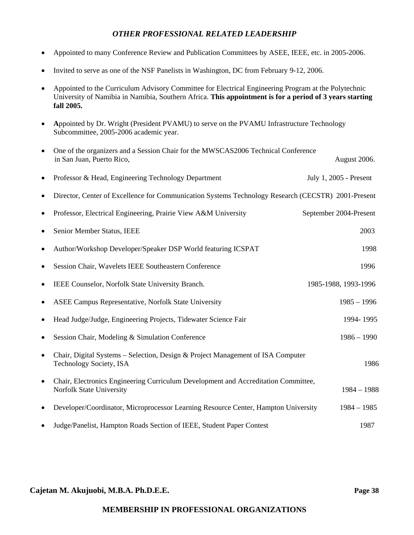## *OTHER PROFESSIONAL RELATED LEADERSHIP*

- Appointed to many Conference Review and Publication Committees by ASEE, IEEE, etc. in 2005-2006.
- Invited to serve as one of the NSF Panelists in Washington, DC from February 9-12, 2006.
- Appointed to the Curriculum Advisory Committee for Electrical Engineering Program at the Polytechnic University of Namibia in Namibia, Southern Africa. **This appointment is for a period of 3 years starting fall 2005.**
- **A**ppointed by Dr. Wright (President PVAMU) to serve on the PVAMU Infrastructure Technology Subcommittee, 2005-2006 academic year.

| $\bullet$ | One of the organizers and a Session Chair for the MWSCAS2006 Technical Conference<br>in San Juan, Puerto Rico, |                        | August 2006.         |
|-----------|----------------------------------------------------------------------------------------------------------------|------------------------|----------------------|
| $\bullet$ | Professor & Head, Engineering Technology Department                                                            | July 1, 2005 - Present |                      |
|           | Director, Center of Excellence for Communication Systems Technology Research (CECSTR) 2001-Present             |                        |                      |
|           | Professor, Electrical Engineering, Prairie View A&M University                                                 | September 2004-Present |                      |
|           | Senior Member Status, IEEE                                                                                     |                        | 2003                 |
|           | Author/Workshop Developer/Speaker DSP World featuring ICSPAT                                                   |                        | 1998                 |
|           | Session Chair, Wavelets IEEE Southeastern Conference                                                           |                        | 1996                 |
|           | IEEE Counselor, Norfolk State University Branch.                                                               |                        | 1985-1988, 1993-1996 |
|           | ASEE Campus Representative, Norfolk State University                                                           |                        | $1985 - 1996$        |
|           | Head Judge/Judge, Engineering Projects, Tidewater Science Fair                                                 |                        | 1994-1995            |
| $\bullet$ | Session Chair, Modeling & Simulation Conference                                                                |                        | $1986 - 1990$        |
| $\bullet$ | Chair, Digital Systems – Selection, Design & Project Management of ISA Computer<br>Technology Society, ISA     |                        | 1986                 |
| $\bullet$ | Chair, Electronics Engineering Curriculum Development and Accreditation Committee,<br>Norfolk State University |                        | $1984 - 1988$        |
| ٠         | Developer/Coordinator, Microprocessor Learning Resource Center, Hampton University                             |                        | $1984 - 1985$        |
|           | Judge/Panelist, Hampton Roads Section of IEEE, Student Paper Contest                                           |                        | 1987                 |

## **Cajetan M. Akujuobi, M.B.A. Ph.D.E.E. Page 38**

## **MEMBERSHIP IN PROFESSIONAL ORGANIZATIONS**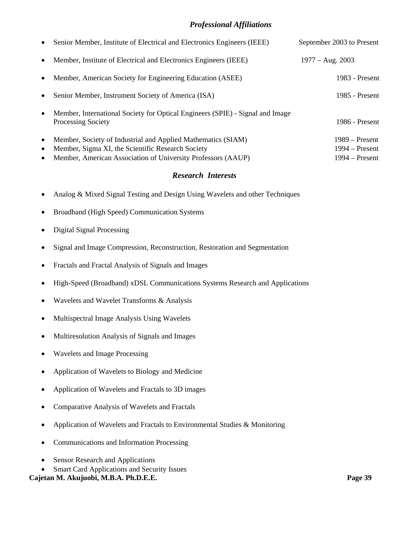## *Professional Affiliations*

| $\bullet$ | Senior Member, Institute of Electrical and Electronics Engineers (IEEE)                                    | September 2003 to Present |
|-----------|------------------------------------------------------------------------------------------------------------|---------------------------|
| $\bullet$ | Member, Institute of Electrical and Electronics Engineers (IEEE)                                           | $1977 - Aug. 2003$        |
| $\bullet$ | Member, American Society for Engineering Education (ASEE)                                                  | 1983 - Present            |
| $\bullet$ | Senior Member, Instrument Society of America (ISA)                                                         | 1985 - Present            |
| $\bullet$ | Member, International Society for Optical Engineers (SPIE) - Signal and Image<br><b>Processing Society</b> | 1986 - Present            |
| $\bullet$ | Member, Society of Industrial and Applied Mathematics (SIAM)                                               | $1989 -$ Present          |
|           | Member, Sigma XI, the Scientific Research Society                                                          | $1994 -$ Present          |
|           | Member, American Association of University Professors (AAUP)                                               | $1994 -$ Present          |

#### *Research Interests*

- Analog & Mixed Signal Testing and Design Using Wavelets and other Techniques
- Broadband (High Speed) Communication Systems
- Digital Signal Processing
- Signal and Image Compression, Reconstruction, Restoration and Segmentation
- Fractals and Fractal Analysis of Signals and Images
- High-Speed (Broadband) xDSL Communications Systems Research and Applications
- Wavelets and Wavelet Transforms & Analysis
- Multispectral Image Analysis Using Wavelets
- Multiresolution Analysis of Signals and Images
- Wavelets and Image Processing
- Application of Wavelets to Biology and Medicine
- Application of Wavelets and Fractals to 3D images
- Comparative Analysis of Wavelets and Fractals
- Application of Wavelets and Fractals to Environmental Studies & Monitoring
- Communications and Information Processing
- Sensor Research and Applications
- Smart Card Applications and Security Issues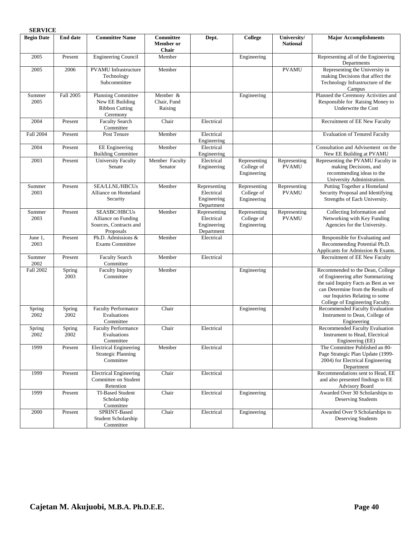| <b>SERVICE</b>    |                 |                                                                            |                                               |                                                         |                                           |                                |                                                                                                                                                                                                                        |  |  |
|-------------------|-----------------|----------------------------------------------------------------------------|-----------------------------------------------|---------------------------------------------------------|-------------------------------------------|--------------------------------|------------------------------------------------------------------------------------------------------------------------------------------------------------------------------------------------------------------------|--|--|
| <b>Begin Date</b> | <b>End date</b> | <b>Committee Name</b>                                                      | <b>Committee</b><br><b>Member</b> or<br>Chair | Dept.                                                   | <b>College</b>                            | University/<br><b>National</b> | <b>Major Accomplishments</b>                                                                                                                                                                                           |  |  |
| 2005              | Present         | <b>Engineering Council</b>                                                 | Member                                        |                                                         | Engineering                               |                                | Representing all of the Engineering<br>Departments                                                                                                                                                                     |  |  |
| 2005              | 2006            | <b>PVAMU</b> Infrastructure<br>Technology<br>Subcommittee                  | Member                                        |                                                         |                                           | <b>PVAMU</b>                   | Representing the University in<br>making Decisions that affect the<br>Technology Infrastructure of the<br>Campus                                                                                                       |  |  |
| Summer<br>2005    | Fall 2005       | Planning Committee<br>New EE Building<br><b>Ribbon Cutting</b><br>Ceremony | Member &<br>Chair, Fund<br>Raising            |                                                         | Engineering                               |                                | Planned the Ceremony Activities and<br>Responsible for Raising Money to<br>Underwrite the Cost                                                                                                                         |  |  |
| 2004              | Present         | <b>Faculty Search</b><br>Committee                                         | Chair                                         | Electrical                                              |                                           |                                | Recruitment of EE New Faculty                                                                                                                                                                                          |  |  |
| <b>Fall 2004</b>  | Present         | Post Tenure                                                                | Member                                        | Electrical<br>Engineering                               |                                           |                                | <b>Evaluation of Tenured Faculty</b>                                                                                                                                                                                   |  |  |
| 2004              | Present         | <b>EE</b> Engineering<br><b>Building Committee</b>                         | Member                                        | Electrical<br>Engineering                               |                                           |                                | Consultation and Advisement on the<br>New EE Building at PVAMU                                                                                                                                                         |  |  |
| 2003              | Present         | <b>University Faculty</b><br>Senate                                        | Member Faculty<br>Senator                     | Electrical<br>Engineering                               | Representing<br>College of<br>Engineering | Representing<br><b>PVAMU</b>   | Representing the PVAMU Faculty in<br>making Decisions, and<br>recommending ideas to the<br>University Administration.                                                                                                  |  |  |
| Summer<br>2003    | Present         | <b>SEA/LLNL/HBCUs</b><br>Alliance on Homeland<br>Security                  | Member                                        | Representing<br>Electrical<br>Engineering<br>Department | Representing<br>College of<br>Engineering | Representing<br><b>PVAMU</b>   | Putting Together a Homeland<br>Security Proposal and Identifying<br>Strengths of Each University.                                                                                                                      |  |  |
| Summer<br>2003    | Present         | SEASBC/HBCUs<br>Alliance on Funding<br>Sources, Contracts and<br>Proposals | Member                                        | Representing<br>Electrical<br>Engineering<br>Department | Representing<br>College of<br>Engineering | Representing<br><b>PVAMU</b>   | Collecting Information and<br>Networking with Key Funding<br>Agencies for the University.                                                                                                                              |  |  |
| June 1,<br>2003   | Present         | Ph.D. Admissions &<br><b>Exams Committee</b>                               | Member                                        | Electrical                                              |                                           |                                | Responsible for Evaluating and<br>Recommending Potential Ph.D.<br>Applicants for Admission & Exams.                                                                                                                    |  |  |
| Summer<br>2002    | Present         | <b>Faculty Search</b><br>Committee                                         | Member                                        | Electrical                                              |                                           |                                | Recruitment of EE New Faculty                                                                                                                                                                                          |  |  |
| Fall 2002         | Spring<br>2003  | <b>Faculty Inquiry</b><br>Committee                                        | Member                                        |                                                         | Engineering                               |                                | Recommended to the Dean, College<br>of Engineering after Summarizing<br>the said Inquiry Facts as Best as we<br>can Determine from the Results of<br>our Inquiries Relating to some<br>College of Engineering Faculty. |  |  |
| Spring<br>2002    | Spring<br>2002  | <b>Faculty Performance</b><br>Evaluations<br>Committee                     | Chair                                         |                                                         | Engineering                               |                                | Recommended Faculty Evaluation<br>Instrument to Dean, College of<br>Engineering                                                                                                                                        |  |  |
| Spring<br>2002    | Spring<br>2002  | Faculty Performance<br>Evaluations<br>Committee                            | Chair                                         | Electrical                                              |                                           |                                | Recommended Faculty Evaluation<br>Instrument to Head, Electrical<br>Engineering (EE)                                                                                                                                   |  |  |
| 1999              | Present         | <b>Electrical Engineering</b><br><b>Strategic Planning</b><br>Committee    | Member                                        | Electrical                                              |                                           |                                | The Committee Published an 80-<br>Page Strategic Plan Update (1999-<br>2004) for Electrical Engineering<br>Department                                                                                                  |  |  |
| 1999              | Present         | <b>Electrical Engineering</b><br>Committee on Student<br>Retention         | Chair                                         | Electrical                                              |                                           |                                | Recommendations sent to Head, EE<br>and also presented findings to EE<br><b>Advisory Board</b>                                                                                                                         |  |  |
| 1999              | Present         | <b>TI-Based Student</b><br>Scholarship<br>Committee                        | Chair                                         | Electrical                                              | Engineering                               |                                | Awarded Over 30 Scholarships to<br><b>Deserving Students</b>                                                                                                                                                           |  |  |
| 2000              | Present         | SPRINT-Based<br>Student Scholarship<br>Committee                           | Chair                                         | Electrical                                              | Engineering                               |                                | Awarded Over 9 Scholarships to<br><b>Deserving Students</b>                                                                                                                                                            |  |  |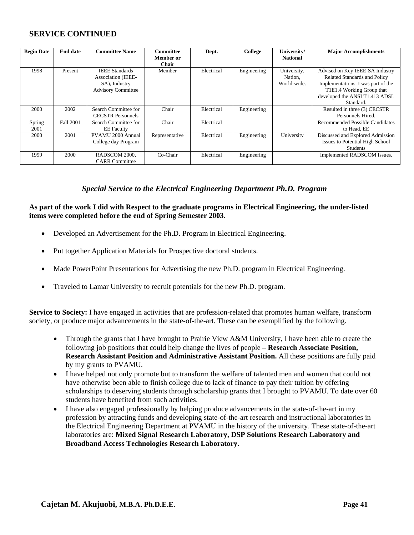## **SERVICE CONTINUED**

| <b>Begin Date</b> | <b>End date</b>  | <b>Committee Name</b>                                                                            | Committee                 | Dept.      | College     | University/                           | <b>Major Accomplishments</b>                                                                                                                                                             |
|-------------------|------------------|--------------------------------------------------------------------------------------------------|---------------------------|------------|-------------|---------------------------------------|------------------------------------------------------------------------------------------------------------------------------------------------------------------------------------------|
|                   |                  |                                                                                                  | Member or<br><b>Chair</b> |            |             | <b>National</b>                       |                                                                                                                                                                                          |
| 1998              | Present          | <b>IEEE</b> Standards<br><b>Association</b> (IEEE-<br>SA), Industry<br><b>Advisory Committee</b> | Member                    | Electrical | Engineering | University,<br>Nation,<br>World-wide. | Advised on Key IEEE-SA Industry<br><b>Related Standards and Policy</b><br>Implementations. I was part of the<br>T1E1.4 Working Group that<br>developed the ANSI T1.413 ADSL<br>Standard. |
| 2000              | 2002             | Search Committee for<br><b>CECSTR</b> Personnels                                                 | Chair                     | Electrical | Engineering |                                       | Resulted in three (3) CECSTR<br>Personnels Hired.                                                                                                                                        |
| Spring<br>2001    | <b>Fall 2001</b> | Search Committee for<br><b>EE</b> Faculty                                                        | Chair                     | Electrical |             |                                       | Recommended Possible Candidates<br>to Head, EE                                                                                                                                           |
| 2000              | 2001             | PVAMU 2000 Annual<br>College day Program                                                         | Representative            | Electrical | Engineering | University                            | Discussed and Explored Admission<br><b>Issues to Potential High School</b><br><b>Students</b>                                                                                            |
| 1999              | 2000             | RADSCOM 2000,<br><b>CARR</b> Committee                                                           | Co-Chair                  | Electrical | Engineering |                                       | Implemented RADSCOM Issues.                                                                                                                                                              |

## *Special Service to the Electrical Engineering Department Ph.D. Program*

## **As part of the work I did with Respect to the graduate programs in Electrical Engineering, the under-listed items were completed before the end of Spring Semester 2003.**

- Developed an Advertisement for the Ph.D. Program in Electrical Engineering.
- Put together Application Materials for Prospective doctoral students.
- Made PowerPoint Presentations for Advertising the new Ph.D. program in Electrical Engineering.
- Traveled to Lamar University to recruit potentials for the new Ph.D. program.

**Service to Society:** I have engaged in activities that are profession-related that promotes human welfare, transform society, or produce major advancements in the state-of-the-art. These can be exemplified by the following.

- Through the grants that I have brought to Prairie View A&M University, I have been able to create the following job positions that could help change the lives of people – **Research Associate Position, Research Assistant Position and Administrative Assistant Position.** All these positions are fully paid by my grants to PVAMU.
- I have helped not only promote but to transform the welfare of talented men and women that could not have otherwise been able to finish college due to lack of finance to pay their tuition by offering scholarships to deserving students through scholarship grants that I brought to PVAMU. To date over 60 students have benefited from such activities.
- I have also engaged professionally by helping produce advancements in the state-of-the-art in my profession by attracting funds and developing state-of-the-art research and instructional laboratories in the Electrical Engineering Department at PVAMU in the history of the university. These state-of-the-art laboratories are: **Mixed Signal Research Laboratory, DSP Solutions Research Laboratory and Broadband Access Technologies Research Laboratory.**